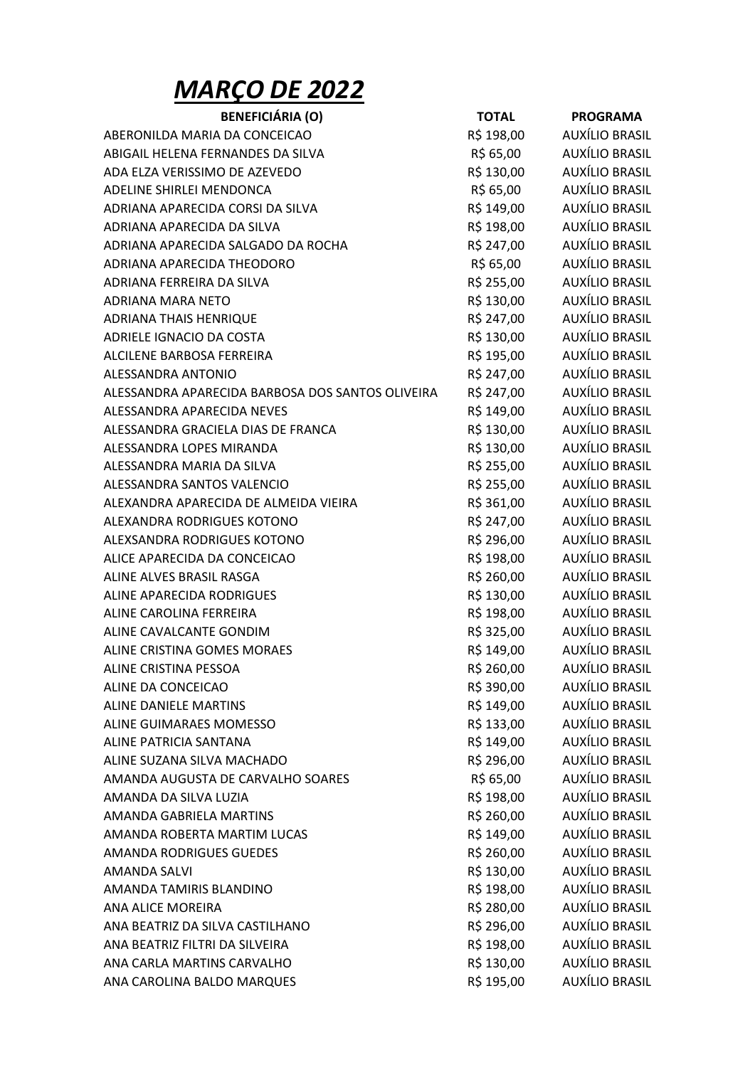## MARÇO DE 2022

| <b>BENEFICIÁRIA (O)</b>                          | <b>TOTAL</b> | <b>PROGRAMA</b>       |
|--------------------------------------------------|--------------|-----------------------|
| ABERONILDA MARIA DA CONCEICAO                    | R\$ 198,00   | <b>AUXÍLIO BRASIL</b> |
| ABIGAIL HELENA FERNANDES DA SILVA                | R\$ 65,00    | <b>AUXÍLIO BRASIL</b> |
| ADA ELZA VERISSIMO DE AZEVEDO                    | R\$ 130,00   | AUXÍLIO BRASIL        |
| ADELINE SHIRLEI MENDONCA                         | R\$ 65,00    | <b>AUXÍLIO BRASIL</b> |
| ADRIANA APARECIDA CORSI DA SILVA                 | R\$ 149,00   | AUXÍLIO BRASIL        |
| ADRIANA APARECIDA DA SILVA                       | R\$ 198,00   | <b>AUXÍLIO BRASIL</b> |
| ADRIANA APARECIDA SALGADO DA ROCHA               | R\$ 247,00   | AUXÍLIO BRASIL        |
| ADRIANA APARECIDA THEODORO                       | R\$ 65,00    | <b>AUXÍLIO BRASIL</b> |
| ADRIANA FERREIRA DA SILVA                        | R\$ 255,00   | AUXÍLIO BRASIL        |
| ADRIANA MARA NETO                                | R\$ 130,00   | AUXÍLIO BRASIL        |
| <b>ADRIANA THAIS HENRIQUE</b>                    | R\$ 247,00   | AUXÍLIO BRASIL        |
| ADRIELE IGNACIO DA COSTA                         | R\$ 130,00   | AUXÍLIO BRASIL        |
| ALCILENE BARBOSA FERREIRA                        | R\$ 195,00   | <b>AUXÍLIO BRASIL</b> |
| ALESSANDRA ANTONIO                               | R\$ 247,00   | AUXÍLIO BRASIL        |
| ALESSANDRA APARECIDA BARBOSA DOS SANTOS OLIVEIRA | R\$ 247,00   | <b>AUXÍLIO BRASIL</b> |
| ALESSANDRA APARECIDA NEVES                       | R\$ 149,00   | <b>AUXÍLIO BRASIL</b> |
| ALESSANDRA GRACIELA DIAS DE FRANCA               | R\$ 130,00   | <b>AUXÍLIO BRASIL</b> |
| ALESSANDRA LOPES MIRANDA                         | R\$ 130,00   | <b>AUXÍLIO BRASIL</b> |
| ALESSANDRA MARIA DA SILVA                        | R\$ 255,00   | AUXÍLIO BRASIL        |
| ALESSANDRA SANTOS VALENCIO                       |              | AUXÍLIO BRASIL        |
|                                                  | R\$ 255,00   |                       |
| ALEXANDRA APARECIDA DE ALMEIDA VIEIRA            | R\$ 361,00   | AUXÍLIO BRASIL        |
| ALEXANDRA RODRIGUES KOTONO                       | R\$ 247,00   | <b>AUXÍLIO BRASIL</b> |
| ALEXSANDRA RODRIGUES KOTONO                      | R\$ 296,00   | <b>AUXÍLIO BRASIL</b> |
| ALICE APARECIDA DA CONCEICAO                     | R\$ 198,00   | <b>AUXÍLIO BRASIL</b> |
| ALINE ALVES BRASIL RASGA                         | R\$ 260,00   | AUXÍLIO BRASIL        |
| ALINE APARECIDA RODRIGUES                        | R\$ 130,00   | AUXÍLIO BRASIL        |
| ALINE CAROLINA FERREIRA                          | R\$ 198,00   | <b>AUXÍLIO BRASIL</b> |
| ALINE CAVALCANTE GONDIM                          | R\$ 325,00   | AUXÍLIO BRASIL        |
| <b>ALINE CRISTINA GOMES MORAES</b>               | R\$ 149,00   | <b>AUXÍLIO BRASIL</b> |
| ALINE CRISTINA PESSOA                            | R\$ 260,00   | <b>AUXÍLIO BRASIL</b> |
| ALINE DA CONCEICAO                               | R\$ 390,00   | <b>AUXÍLIO BRASIL</b> |
| <b>ALINE DANIELE MARTINS</b>                     | R\$ 149,00   | <b>AUXÍLIO BRASIL</b> |
| ALINE GUIMARAES MOMESSO                          | R\$ 133,00   | <b>AUXÍLIO BRASIL</b> |
| ALINE PATRICIA SANTANA                           | R\$ 149,00   | <b>AUXÍLIO BRASIL</b> |
| ALINE SUZANA SILVA MACHADO                       | R\$ 296,00   | <b>AUXÍLIO BRASIL</b> |
| AMANDA AUGUSTA DE CARVALHO SOARES                | R\$ 65,00    | <b>AUXÍLIO BRASIL</b> |
| AMANDA DA SILVA LUZIA                            | R\$ 198,00   | <b>AUXÍLIO BRASIL</b> |
| AMANDA GABRIELA MARTINS                          | R\$ 260,00   | <b>AUXÍLIO BRASIL</b> |
| AMANDA ROBERTA MARTIM LUCAS                      | R\$ 149,00   | <b>AUXÍLIO BRASIL</b> |
| AMANDA RODRIGUES GUEDES                          | R\$ 260,00   | <b>AUXÍLIO BRASIL</b> |
| <b>AMANDA SALVI</b>                              | R\$ 130,00   | AUXÍLIO BRASIL        |
| AMANDA TAMIRIS BLANDINO                          | R\$ 198,00   | <b>AUXÍLIO BRASIL</b> |
| ANA ALICE MOREIRA                                | R\$ 280,00   | <b>AUXÍLIO BRASIL</b> |
| ANA BEATRIZ DA SILVA CASTILHANO                  | R\$ 296,00   | <b>AUXÍLIO BRASIL</b> |
| ANA BEATRIZ FILTRI DA SILVEIRA                   | R\$ 198,00   | <b>AUXÍLIO BRASIL</b> |
| ANA CARLA MARTINS CARVALHO                       | R\$ 130,00   | <b>AUXÍLIO BRASIL</b> |
| ANA CAROLINA BALDO MARQUES                       | R\$ 195,00   | <b>AUXÍLIO BRASIL</b> |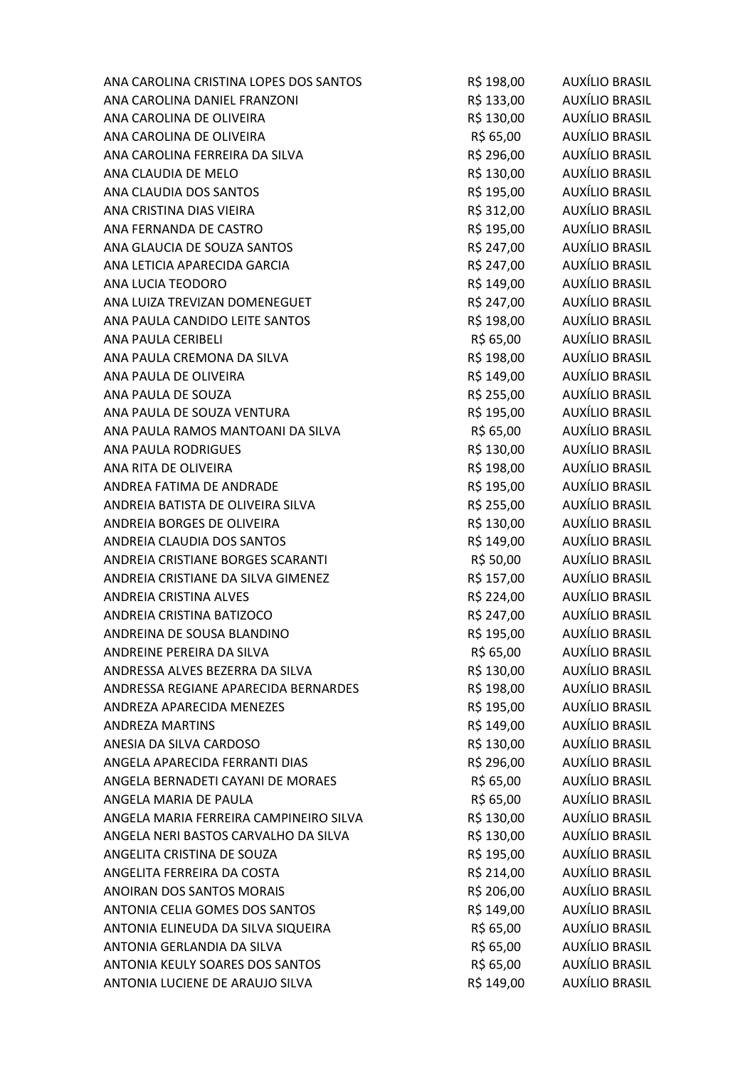| ANA CAROLINA CRISTINA LOPES DOS SANTOS | R\$ 198,00 | AUXÍLIO BRASIL        |
|----------------------------------------|------------|-----------------------|
| ANA CAROLINA DANIEL FRANZONI           | R\$ 133,00 | AUXÍLIO BRASIL        |
| ANA CAROLINA DE OLIVEIRA               | R\$ 130,00 | AUXÍLIO BRASIL        |
| ANA CAROLINA DE OLIVEIRA               | R\$ 65,00  | AUXÍLIO BRASIL        |
| ANA CAROLINA FERREIRA DA SILVA         | R\$ 296,00 | AUXÍLIO BRASIL        |
| ANA CLAUDIA DE MELO                    | R\$ 130,00 | AUXÍLIO BRASIL        |
| ANA CLAUDIA DOS SANTOS                 | R\$ 195,00 | AUXÍLIO BRASIL        |
| ANA CRISTINA DIAS VIEIRA               | R\$ 312,00 | AUXÍLIO BRASIL        |
| ANA FERNANDA DE CASTRO                 | R\$ 195,00 | AUXÍLIO BRASIL        |
| ANA GLAUCIA DE SOUZA SANTOS            | R\$ 247,00 | AUXÍLIO BRASIL        |
| ANA LETICIA APARECIDA GARCIA           | R\$ 247,00 | AUXÍLIO BRASIL        |
| ANA LUCIA TEODORO                      | R\$ 149,00 | AUXÍLIO BRASIL        |
| ANA LUIZA TREVIZAN DOMENEGUET          | R\$ 247,00 | AUXÍLIO BRASIL        |
| ANA PAULA CANDIDO LEITE SANTOS         | R\$ 198,00 | AUXÍLIO BRASIL        |
| <b>ANA PAULA CERIBELI</b>              | R\$ 65,00  | AUXÍLIO BRASIL        |
| ANA PAULA CREMONA DA SILVA             | R\$ 198,00 | AUXÍLIO BRASIL        |
| ANA PAULA DE OLIVEIRA                  | R\$ 149,00 | AUXÍLIO BRASIL        |
| ANA PAULA DE SOUZA                     | R\$ 255,00 | AUXÍLIO BRASIL        |
| ANA PAULA DE SOUZA VENTURA             | R\$ 195,00 | AUXÍLIO BRASIL        |
| ANA PAULA RAMOS MANTOANI DA SILVA      | R\$ 65,00  | AUXÍLIO BRASIL        |
| <b>ANA PAULA RODRIGUES</b>             | R\$ 130,00 | AUXÍLIO BRASIL        |
| ANA RITA DE OLIVEIRA                   | R\$ 198,00 | AUXÍLIO BRASIL        |
| ANDREA FATIMA DE ANDRADE               | R\$ 195,00 | AUXÍLIO BRASIL        |
| ANDREIA BATISTA DE OLIVEIRA SILVA      | R\$ 255,00 | AUXÍLIO BRASIL        |
| ANDREIA BORGES DE OLIVEIRA             | R\$ 130,00 | AUXÍLIO BRASIL        |
| ANDREIA CLAUDIA DOS SANTOS             | R\$ 149,00 | AUXÍLIO BRASIL        |
| ANDREIA CRISTIANE BORGES SCARANTI      | R\$ 50,00  | AUXÍLIO BRASIL        |
| ANDREIA CRISTIANE DA SILVA GIMENEZ     | R\$ 157,00 | <b>AUXÍLIO BRASIL</b> |
| ANDREIA CRISTINA ALVES                 | R\$ 224,00 | AUXÍLIO BRASIL        |
| ANDREIA CRISTINA BATIZOCO              | R\$ 247,00 | AUXÍLIO BRASIL        |
| ANDREINA DE SOUSA BLANDINO             | R\$ 195,00 | AUXÍLIO BRASIL        |
| ANDREINE PEREIRA DA SILVA              | R\$ 65,00  | AUXÍLIO BRASIL        |
| ANDRESSA ALVES BEZERRA DA SILVA        | R\$ 130,00 | AUXÍLIO BRASIL        |
| ANDRESSA REGIANE APARECIDA BERNARDES   | R\$ 198,00 | AUXÍLIO BRASIL        |
| ANDREZA APARECIDA MENEZES              | R\$ 195,00 | AUXÍLIO BRASIL        |
| <b>ANDREZA MARTINS</b>                 | R\$ 149,00 | AUXÍLIO BRASIL        |
| ANESIA DA SILVA CARDOSO                | R\$ 130,00 | AUXÍLIO BRASIL        |
| ANGELA APARECIDA FERRANTI DIAS         | R\$ 296,00 | AUXÍLIO BRASIL        |
| ANGELA BERNADETI CAYANI DE MORAES      | R\$ 65,00  | AUXÍLIO BRASIL        |
| ANGELA MARIA DE PAULA                  | R\$ 65,00  | AUXÍLIO BRASIL        |
| ANGELA MARIA FERREIRA CAMPINEIRO SILVA | R\$ 130,00 | AUXÍLIO BRASIL        |
| ANGELA NERI BASTOS CARVALHO DA SILVA   | R\$ 130,00 | AUXÍLIO BRASIL        |
| ANGELITA CRISTINA DE SOUZA             | R\$ 195,00 | AUXÍLIO BRASIL        |
| ANGELITA FERREIRA DA COSTA             | R\$ 214,00 | AUXÍLIO BRASIL        |
| ANOIRAN DOS SANTOS MORAIS              | R\$ 206,00 | AUXÍLIO BRASIL        |
| ANTONIA CELIA GOMES DOS SANTOS         | R\$ 149,00 | AUXÍLIO BRASIL        |
| ANTONIA ELINEUDA DA SILVA SIQUEIRA     | R\$ 65,00  | AUXÍLIO BRASIL        |
| ANTONIA GERLANDIA DA SILVA             | R\$ 65,00  | AUXÍLIO BRASIL        |
| ANTONIA KEULY SOARES DOS SANTOS        | R\$ 65,00  | AUXÍLIO BRASIL        |
| ANTONIA LUCIENE DE ARAUJO SILVA        | R\$ 149,00 | <b>AUXÍLIO BRASIL</b> |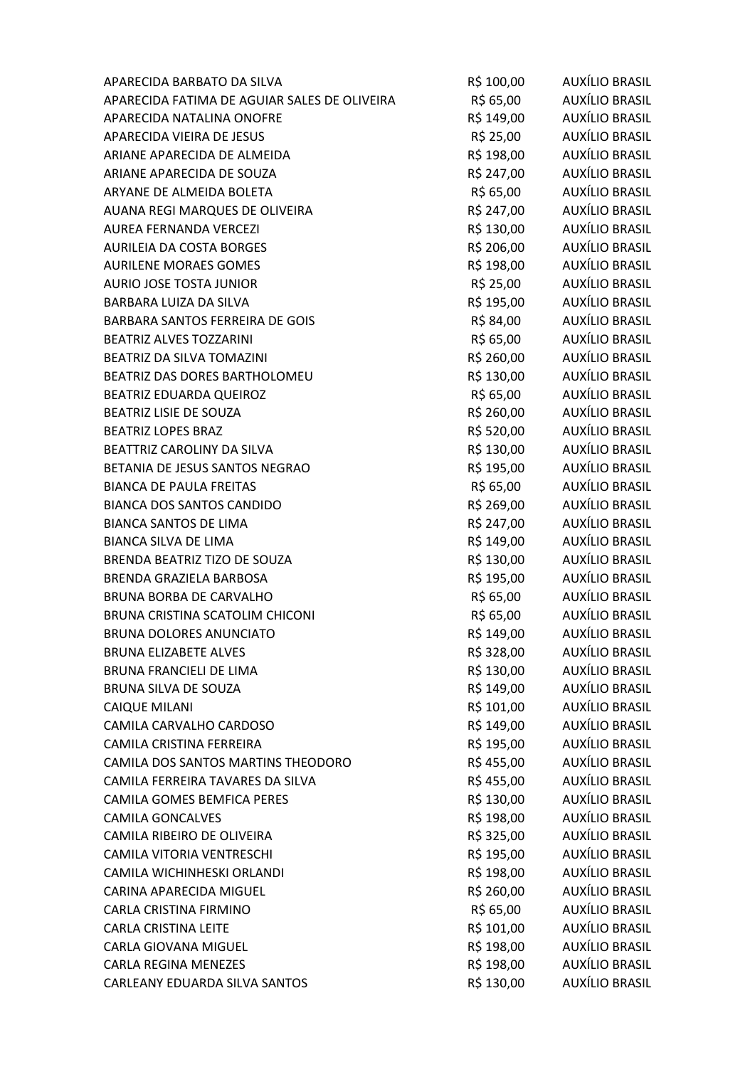|                                              | R\$ 100,00 | AUXÍLIO BRASIL        |
|----------------------------------------------|------------|-----------------------|
| APARECIDA FATIMA DE AGUIAR SALES DE OLIVEIRA | R\$ 65,00  | AUXÍLIO BRASIL        |
| APARECIDA NATALINA ONOFRE                    | R\$ 149,00 | AUXÍLIO BRASIL        |
| APARECIDA VIEIRA DE JESUS                    | R\$ 25,00  | AUXÍLIO BRASIL        |
| ARIANE APARECIDA DE ALMEIDA                  | R\$ 198,00 | AUXÍLIO BRASIL        |
| ARIANE APARECIDA DE SOUZA                    | R\$ 247,00 | AUXÍLIO BRASIL        |
| ARYANE DE ALMEIDA BOLETA                     | R\$ 65,00  | AUXÍLIO BRASIL        |
| AUANA REGI MARQUES DE OLIVEIRA               | R\$ 247,00 | AUXÍLIO BRASIL        |
| AUREA FERNANDA VERCEZI                       | R\$ 130,00 | <b>AUXÍLIO BRASIL</b> |
| AURILEIA DA COSTA BORGES                     | R\$ 206,00 | AUXÍLIO BRASIL        |
| <b>AURILENE MORAES GOMES</b>                 | R\$ 198,00 | AUXÍLIO BRASIL        |
| AURIO JOSE TOSTA JUNIOR                      | R\$ 25,00  | AUXÍLIO BRASIL        |
| BARBARA LUIZA DA SILVA                       | R\$ 195,00 | AUXÍLIO BRASIL        |
| BARBARA SANTOS FERREIRA DE GOIS              | R\$ 84,00  | <b>AUXÍLIO BRASIL</b> |
| <b>BEATRIZ ALVES TOZZARINI</b>               | R\$ 65,00  | AUXÍLIO BRASIL        |
| BEATRIZ DA SILVA TOMAZINI                    | R\$ 260,00 | AUXÍLIO BRASIL        |
| BEATRIZ DAS DORES BARTHOLOMEU                | R\$ 130,00 | AUXÍLIO BRASIL        |
| BEATRIZ EDUARDA QUEIROZ                      | R\$ 65,00  | AUXÍLIO BRASIL        |
| BEATRIZ LISIE DE SOUZA                       | R\$ 260,00 | AUXÍLIO BRASIL        |
| <b>BEATRIZ LOPES BRAZ</b>                    | R\$ 520,00 | AUXÍLIO BRASIL        |
| BEATTRIZ CAROLINY DA SILVA                   | R\$ 130,00 | AUXÍLIO BRASIL        |
| BETANIA DE JESUS SANTOS NEGRAO               | R\$ 195,00 | AUXÍLIO BRASIL        |
| <b>BIANCA DE PAULA FREITAS</b>               | R\$ 65,00  | AUXÍLIO BRASIL        |
| <b>BIANCA DOS SANTOS CANDIDO</b>             | R\$ 269,00 | <b>AUXÍLIO BRASIL</b> |
| <b>BIANCA SANTOS DE LIMA</b>                 | R\$ 247,00 | AUXÍLIO BRASIL        |
| <b>BIANCA SILVA DE LIMA</b>                  | R\$ 149,00 | AUXÍLIO BRASIL        |
| BRENDA BEATRIZ TIZO DE SOUZA                 | R\$ 130,00 | AUXÍLIO BRASIL        |
| BRENDA GRAZIELA BARBOSA                      | R\$ 195,00 | <b>AUXÍLIO BRASIL</b> |
| <b>BRUNA BORBA DE CARVALHO</b>               | R\$ 65,00  | <b>AUXÍLIO BRASIL</b> |
| <b>BRUNA CRISTINA SCATOLIM CHICONI</b>       | R\$ 65,00  | AUXÍLIO BRASIL        |
| <b>BRUNA DOLORES ANUNCIATO</b>               | R\$ 149,00 | AUXÍLIO BRASIL        |
| <b>BRUNA ELIZABETE ALVES</b>                 | R\$ 328,00 | AUXÍLIO BRASIL        |
| <b>BRUNA FRANCIELI DE LIMA</b>               | R\$ 130,00 | <b>AUXÍLIO BRASIL</b> |
| BRUNA SILVA DE SOUZA                         | R\$ 149,00 | <b>AUXÍLIO BRASIL</b> |
| <b>CAIQUE MILANI</b>                         | R\$ 101,00 | <b>AUXÍLIO BRASIL</b> |
| CAMILA CARVALHO CARDOSO                      | R\$ 149,00 | AUXÍLIO BRASIL        |
| CAMILA CRISTINA FERREIRA                     | R\$ 195,00 | AUXÍLIO BRASIL        |
| CAMILA DOS SANTOS MARTINS THEODORO           | R\$ 455,00 | AUXÍLIO BRASIL        |
| CAMILA FERREIRA TAVARES DA SILVA             | R\$455,00  | AUXÍLIO BRASIL        |
| <b>CAMILA GOMES BEMFICA PERES</b>            | R\$ 130,00 | AUXÍLIO BRASIL        |
| <b>CAMILA GONCALVES</b>                      | R\$ 198,00 | AUXÍLIO BRASIL        |
| CAMILA RIBEIRO DE OLIVEIRA                   | R\$ 325,00 | AUXÍLIO BRASIL        |
| CAMILA VITORIA VENTRESCHI                    | R\$ 195,00 | AUXÍLIO BRASIL        |
| CAMILA WICHINHESKI ORLANDI                   | R\$ 198,00 | AUXÍLIO BRASIL        |
| CARINA APARECIDA MIGUEL                      | R\$ 260,00 | <b>AUXÍLIO BRASIL</b> |
| CARLA CRISTINA FIRMINO                       | R\$ 65,00  | AUXÍLIO BRASIL        |
| <b>CARLA CRISTINA LEITE</b>                  | R\$ 101,00 | AUXÍLIO BRASIL        |
| <b>CARLA GIOVANA MIGUEL</b>                  | R\$ 198,00 | AUXÍLIO BRASIL        |
| <b>CARLA REGINA MENEZES</b>                  | R\$ 198,00 | AUXÍLIO BRASIL        |
|                                              | R\$ 130,00 | <b>AUXÍLIO BRASIL</b> |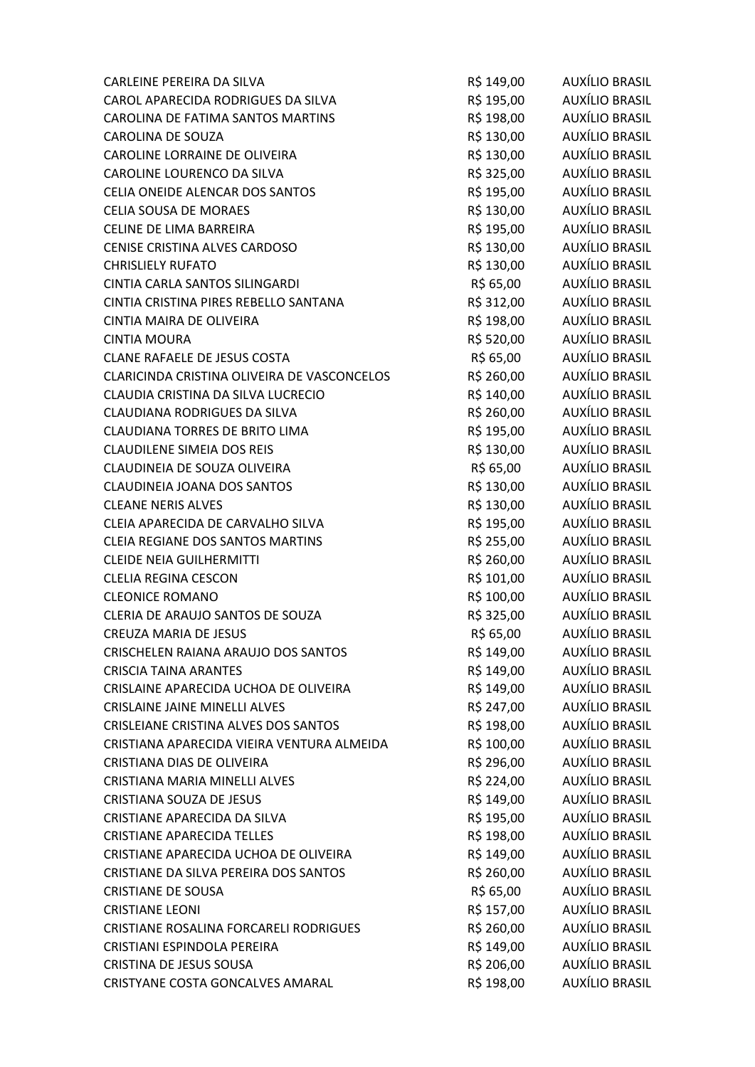| CARLEINE PEREIRA DA SILVA                   | R\$ 149,00 | AUXÍLIO BRASIL        |
|---------------------------------------------|------------|-----------------------|
| CAROL APARECIDA RODRIGUES DA SILVA          | R\$ 195,00 | AUXÍLIO BRASIL        |
| CAROLINA DE FATIMA SANTOS MARTINS           | R\$ 198,00 | AUXÍLIO BRASIL        |
| <b>CAROLINA DE SOUZA</b>                    | R\$ 130,00 | AUXÍLIO BRASIL        |
| CAROLINE LORRAINE DE OLIVEIRA               | R\$ 130,00 | AUXÍLIO BRASIL        |
| CAROLINE LOURENCO DA SILVA                  | R\$ 325,00 | AUXÍLIO BRASIL        |
| CELIA ONEIDE ALENCAR DOS SANTOS             | R\$ 195,00 | AUXÍLIO BRASIL        |
| <b>CELIA SOUSA DE MORAES</b>                | R\$ 130,00 | AUXÍLIO BRASIL        |
| CELINE DE LIMA BARREIRA                     | R\$ 195,00 | <b>AUXÍLIO BRASIL</b> |
| CENISE CRISTINA ALVES CARDOSO               | R\$ 130,00 | <b>AUXÍLIO BRASIL</b> |
| <b>CHRISLIELY RUFATO</b>                    | R\$ 130,00 | AUXÍLIO BRASIL        |
| CINTIA CARLA SANTOS SILINGARDI              | R\$ 65,00  | AUXÍLIO BRASIL        |
| CINTIA CRISTINA PIRES REBELLO SANTANA       | R\$ 312,00 | AUXÍLIO BRASIL        |
| CINTIA MAIRA DE OLIVEIRA                    | R\$ 198,00 | AUXÍLIO BRASIL        |
| <b>CINTIA MOURA</b>                         | R\$ 520,00 | AUXÍLIO BRASIL        |
| CLANE RAFAELE DE JESUS COSTA                | R\$ 65,00  | AUXÍLIO BRASIL        |
| CLARICINDA CRISTINA OLIVEIRA DE VASCONCELOS | R\$ 260,00 | AUXÍLIO BRASIL        |
| CLAUDIA CRISTINA DA SILVA LUCRECIO          | R\$ 140,00 | AUXÍLIO BRASIL        |
| CLAUDIANA RODRIGUES DA SILVA                | R\$ 260,00 | AUXÍLIO BRASIL        |
| <b>CLAUDIANA TORRES DE BRITO LIMA</b>       | R\$ 195,00 | AUXÍLIO BRASIL        |
| <b>CLAUDILENE SIMEIA DOS REIS</b>           | R\$ 130,00 | AUXÍLIO BRASIL        |
| CLAUDINEIA DE SOUZA OLIVEIRA                | R\$ 65,00  | AUXÍLIO BRASIL        |
| <b>CLAUDINEIA JOANA DOS SANTOS</b>          | R\$ 130,00 | AUXÍLIO BRASIL        |
| <b>CLEANE NERIS ALVES</b>                   | R\$ 130,00 | AUXÍLIO BRASIL        |
| CLEIA APARECIDA DE CARVALHO SILVA           | R\$ 195,00 | AUXÍLIO BRASIL        |
| CLEIA REGIANE DOS SANTOS MARTINS            | R\$ 255,00 | AUXÍLIO BRASIL        |
| <b>CLEIDE NEIA GUILHERMITTI</b>             | R\$ 260,00 | AUXÍLIO BRASIL        |
| <b>CLELIA REGINA CESCON</b>                 | R\$ 101,00 | <b>AUXÍLIO BRASIL</b> |
| <b>CLEONICE ROMANO</b>                      | R\$ 100,00 | AUXÍLIO BRASIL        |
| CLERIA DE ARAUJO SANTOS DE SOUZA            | R\$ 325,00 | AUXÍLIO BRASIL        |
| <b>CREUZA MARIA DE JESUS</b>                | R\$ 65,00  | <b>AUXÍLIO BRASIL</b> |
| CRISCHELEN RAIANA ARAUJO DOS SANTOS         | R\$ 149,00 | AUXÍLIO BRASIL        |
| <b>CRISCIA TAINA ARANTES</b>                | R\$ 149,00 | <b>AUXÍLIO BRASIL</b> |
| CRISLAINE APARECIDA UCHOA DE OLIVEIRA       | R\$ 149,00 | AUXÍLIO BRASIL        |
| <b>CRISLAINE JAINE MINELLI ALVES</b>        | R\$ 247,00 | AUXÍLIO BRASIL        |
| <b>CRISLEIANE CRISTINA ALVES DOS SANTOS</b> | R\$ 198,00 | AUXÍLIO BRASIL        |
| CRISTIANA APARECIDA VIEIRA VENTURA ALMEIDA  | R\$ 100,00 | AUXÍLIO BRASIL        |
| CRISTIANA DIAS DE OLIVEIRA                  | R\$ 296,00 | AUXÍLIO BRASIL        |
| CRISTIANA MARIA MINELLI ALVES               | R\$ 224,00 | AUXÍLIO BRASIL        |
| CRISTIANA SOUZA DE JESUS                    | R\$ 149,00 | AUXÍLIO BRASIL        |
| CRISTIANE APARECIDA DA SILVA                | R\$ 195,00 | AUXÍLIO BRASIL        |
| <b>CRISTIANE APARECIDA TELLES</b>           | R\$ 198,00 | <b>AUXÍLIO BRASIL</b> |
| CRISTIANE APARECIDA UCHOA DE OLIVEIRA       | R\$ 149,00 | AUXÍLIO BRASIL        |
| CRISTIANE DA SILVA PEREIRA DOS SANTOS       | R\$ 260,00 | AUXÍLIO BRASIL        |
| <b>CRISTIANE DE SOUSA</b>                   | R\$ 65,00  | <b>AUXÍLIO BRASIL</b> |
| <b>CRISTIANE LEONI</b>                      | R\$ 157,00 | AUXÍLIO BRASIL        |
| CRISTIANE ROSALINA FORCARELI RODRIGUES      | R\$ 260,00 | AUXÍLIO BRASIL        |
| CRISTIANI ESPINDOLA PEREIRA                 | R\$ 149,00 | AUXÍLIO BRASIL        |
| CRISTINA DE JESUS SOUSA                     | R\$ 206,00 | AUXÍLIO BRASIL        |
| CRISTYANE COSTA GONCALVES AMARAL            | R\$ 198,00 | AUXÍLIO BRASIL        |
|                                             |            |                       |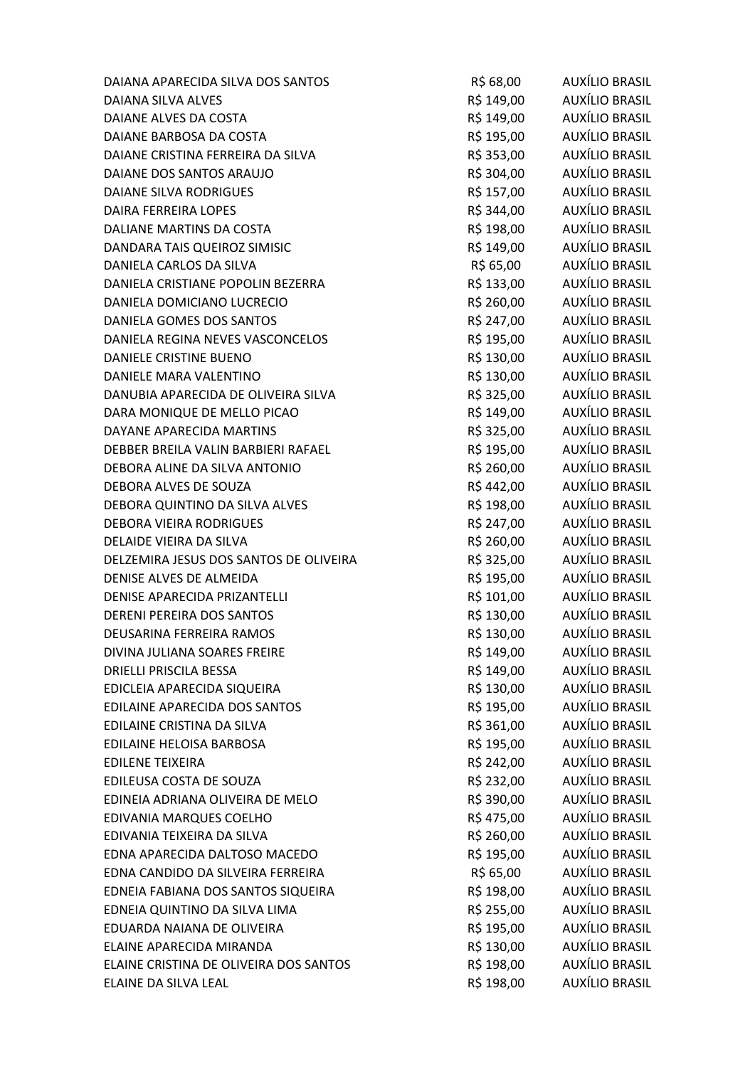| DAIANA APARECIDA SILVA DOS SANTOS      | R\$ 68,00  | AUXÍLIO BRASIL        |
|----------------------------------------|------------|-----------------------|
| DAIANA SILVA ALVES                     | R\$ 149,00 | <b>AUXÍLIO BRASIL</b> |
| DAIANE ALVES DA COSTA                  | R\$ 149,00 | <b>AUXÍLIO BRASIL</b> |
| DAIANE BARBOSA DA COSTA                | R\$ 195,00 | AUXÍLIO BRASIL        |
| DAIANE CRISTINA FERREIRA DA SILVA      | R\$ 353,00 | <b>AUXÍLIO BRASIL</b> |
| DAIANE DOS SANTOS ARAUJO               | R\$ 304,00 | AUXÍLIO BRASIL        |
| <b>DAIANE SILVA RODRIGUES</b>          | R\$ 157,00 | AUXÍLIO BRASIL        |
| <b>DAIRA FERREIRA LOPES</b>            | R\$ 344,00 | AUXÍLIO BRASIL        |
| DALIANE MARTINS DA COSTA               | R\$ 198,00 | <b>AUXÍLIO BRASIL</b> |
| DANDARA TAIS QUEIROZ SIMISIC           | R\$ 149,00 | AUXÍLIO BRASIL        |
| DANIELA CARLOS DA SILVA                | R\$ 65,00  | AUXÍLIO BRASIL        |
| DANIELA CRISTIANE POPOLIN BEZERRA      | R\$ 133,00 | AUXÍLIO BRASIL        |
| DANIELA DOMICIANO LUCRECIO             | R\$ 260,00 | AUXÍLIO BRASIL        |
| DANIELA GOMES DOS SANTOS               | R\$ 247,00 | <b>AUXÍLIO BRASIL</b> |
| DANIELA REGINA NEVES VASCONCELOS       | R\$ 195,00 | AUXÍLIO BRASIL        |
| <b>DANIELE CRISTINE BUENO</b>          | R\$ 130,00 | AUXÍLIO BRASIL        |
| DANIELE MARA VALENTINO                 | R\$ 130,00 | AUXÍLIO BRASIL        |
| DANUBIA APARECIDA DE OLIVEIRA SILVA    | R\$ 325,00 | AUXÍLIO BRASIL        |
| DARA MONIQUE DE MELLO PICAO            | R\$ 149,00 | AUXÍLIO BRASIL        |
| DAYANE APARECIDA MARTINS               | R\$ 325,00 | AUXÍLIO BRASIL        |
| DEBBER BREILA VALIN BARBIERI RAFAEL    | R\$ 195,00 | AUXÍLIO BRASIL        |
| DEBORA ALINE DA SILVA ANTONIO          | R\$ 260,00 | AUXÍLIO BRASIL        |
| DEBORA ALVES DE SOUZA                  | R\$442,00  | AUXÍLIO BRASIL        |
| DEBORA QUINTINO DA SILVA ALVES         | R\$ 198,00 | AUXÍLIO BRASIL        |
| <b>DEBORA VIEIRA RODRIGUES</b>         | R\$ 247,00 | AUXÍLIO BRASIL        |
| DELAIDE VIEIRA DA SILVA                | R\$ 260,00 | AUXÍLIO BRASIL        |
| DELZEMIRA JESUS DOS SANTOS DE OLIVEIRA | R\$ 325,00 | AUXÍLIO BRASIL        |
| DENISE ALVES DE ALMEIDA                | R\$ 195,00 | <b>AUXÍLIO BRASIL</b> |
| DENISE APARECIDA PRIZANTELLI           | R\$ 101,00 | AUXÍLIO BRASIL        |
| <b>DERENI PEREIRA DOS SANTOS</b>       | R\$ 130,00 | AUXÍLIO BRASIL        |
| DEUSARINA FERREIRA RAMOS               | R\$ 130,00 | <b>AUXÍLIO BRASIL</b> |
| DIVINA JULIANA SOARES FREIRE           | R\$ 149,00 | AUXÍLIO BRASIL        |
| <b>DRIELLI PRISCILA BESSA</b>          | R\$ 149,00 | AUXÍLIO BRASIL        |
| EDICLEIA APARECIDA SIQUEIRA            | R\$ 130,00 | AUXÍLIO BRASIL        |
| EDILAINE APARECIDA DOS SANTOS          | R\$ 195,00 | AUXÍLIO BRASIL        |
| EDILAINE CRISTINA DA SILVA             | R\$ 361,00 | AUXÍLIO BRASIL        |
| <b>EDILAINE HELOISA BARBOSA</b>        | R\$ 195,00 | AUXÍLIO BRASIL        |
| <b>EDILENE TEIXEIRA</b>                | R\$ 242,00 | <b>AUXÍLIO BRASIL</b> |
| EDILEUSA COSTA DE SOUZA                | R\$ 232,00 | AUXÍLIO BRASIL        |
| EDINEIA ADRIANA OLIVEIRA DE MELO       | R\$ 390,00 | <b>AUXÍLIO BRASIL</b> |
| EDIVANIA MARQUES COELHO                | R\$ 475,00 | AUXÍLIO BRASIL        |
| EDIVANIA TEIXEIRA DA SILVA             | R\$ 260,00 | AUXÍLIO BRASIL        |
| EDNA APARECIDA DALTOSO MACEDO          | R\$ 195,00 | AUXÍLIO BRASIL        |
| EDNA CANDIDO DA SILVEIRA FERREIRA      | R\$ 65,00  | AUXÍLIO BRASIL        |
| EDNEIA FABIANA DOS SANTOS SIQUEIRA     | R\$ 198,00 | AUXÍLIO BRASIL        |
| EDNEIA QUINTINO DA SILVA LIMA          | R\$ 255,00 | AUXÍLIO BRASIL        |
| EDUARDA NAIANA DE OLIVEIRA             | R\$ 195,00 | AUXÍLIO BRASIL        |
| ELAINE APARECIDA MIRANDA               | R\$ 130,00 | AUXÍLIO BRASIL        |
| ELAINE CRISTINA DE OLIVEIRA DOS SANTOS | R\$ 198,00 | <b>AUXÍLIO BRASIL</b> |
| ELAINE DA SILVA LEAL                   | R\$ 198,00 | <b>AUXÍLIO BRASIL</b> |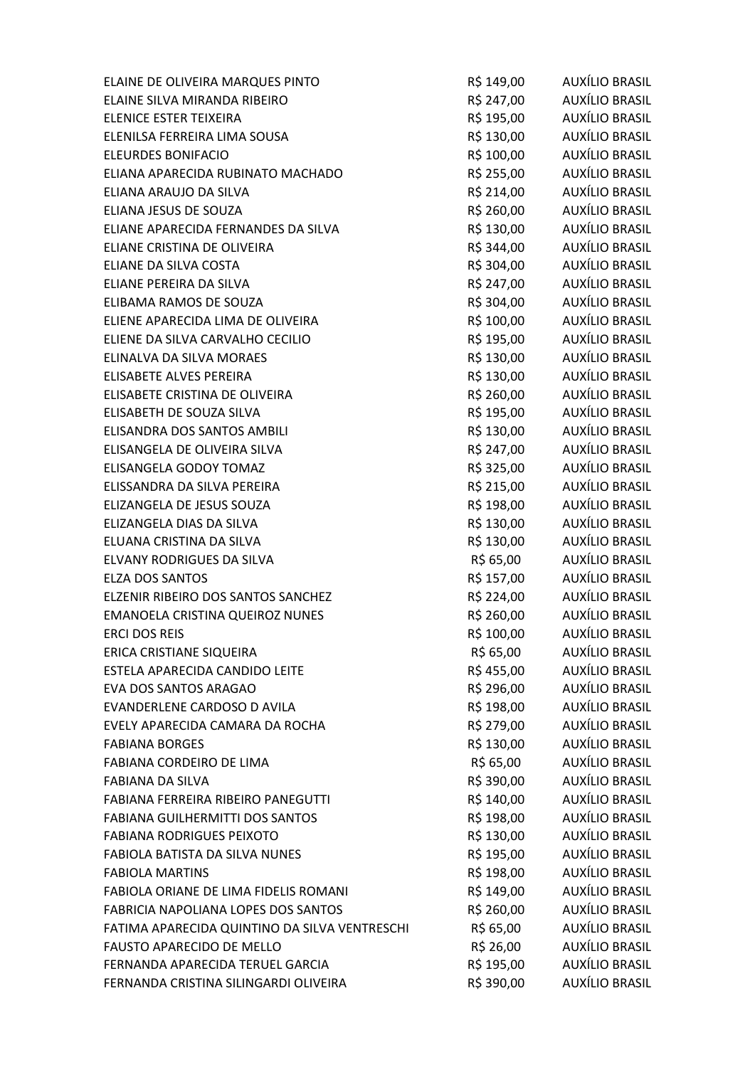| ELAINE DE OLIVEIRA MARQUES PINTO              | R\$ 149,00 | AUXÍLIO BRASIL        |
|-----------------------------------------------|------------|-----------------------|
| ELAINE SILVA MIRANDA RIBEIRO                  | R\$ 247,00 | AUXÍLIO BRASIL        |
| <b>ELENICE ESTER TEIXEIRA</b>                 | R\$ 195,00 | AUXÍLIO BRASIL        |
| ELENILSA FERREIRA LIMA SOUSA                  | R\$ 130,00 | AUXÍLIO BRASIL        |
| <b>ELEURDES BONIFACIO</b>                     | R\$ 100,00 | <b>AUXÍLIO BRASIL</b> |
| ELIANA APARECIDA RUBINATO MACHADO             | R\$ 255,00 | AUXÍLIO BRASIL        |
| ELIANA ARAUJO DA SILVA                        | R\$ 214,00 | AUXÍLIO BRASIL        |
| ELIANA JESUS DE SOUZA                         | R\$ 260,00 | AUXÍLIO BRASIL        |
| ELIANE APARECIDA FERNANDES DA SILVA           | R\$ 130,00 | <b>AUXÍLIO BRASIL</b> |
| ELIANE CRISTINA DE OLIVEIRA                   | R\$ 344,00 | AUXÍLIO BRASIL        |
| ELIANE DA SILVA COSTA                         | R\$ 304,00 | AUXÍLIO BRASIL        |
| ELIANE PEREIRA DA SILVA                       | R\$ 247,00 | AUXÍLIO BRASIL        |
| ELIBAMA RAMOS DE SOUZA                        | R\$ 304,00 | AUXÍLIO BRASIL        |
| ELIENE APARECIDA LIMA DE OLIVEIRA             | R\$ 100,00 | AUXÍLIO BRASIL        |
| ELIENE DA SILVA CARVALHO CECILIO              | R\$ 195,00 | <b>AUXÍLIO BRASIL</b> |
| ELINALVA DA SILVA MORAES                      | R\$ 130,00 | AUXÍLIO BRASIL        |
| ELISABETE ALVES PEREIRA                       | R\$ 130,00 | AUXÍLIO BRASIL        |
| ELISABETE CRISTINA DE OLIVEIRA                | R\$ 260,00 | AUXÍLIO BRASIL        |
| ELISABETH DE SOUZA SILVA                      | R\$ 195,00 | AUXÍLIO BRASIL        |
| ELISANDRA DOS SANTOS AMBILI                   | R\$ 130,00 | AUXÍLIO BRASIL        |
| ELISANGELA DE OLIVEIRA SILVA                  | R\$ 247,00 | AUXÍLIO BRASIL        |
| ELISANGELA GODOY TOMAZ                        | R\$ 325,00 | AUXÍLIO BRASIL        |
| ELISSANDRA DA SILVA PEREIRA                   | R\$ 215,00 | AUXÍLIO BRASIL        |
| ELIZANGELA DE JESUS SOUZA                     | R\$ 198,00 | AUXÍLIO BRASIL        |
| ELIZANGELA DIAS DA SILVA                      | R\$ 130,00 | AUXÍLIO BRASIL        |
| ELUANA CRISTINA DA SILVA                      | R\$ 130,00 | AUXÍLIO BRASIL        |
| ELVANY RODRIGUES DA SILVA                     | R\$ 65,00  | AUXÍLIO BRASIL        |
| <b>ELZA DOS SANTOS</b>                        | R\$ 157,00 | <b>AUXÍLIO BRASIL</b> |
| ELZENIR RIBEIRO DOS SANTOS SANCHEZ            | R\$ 224,00 | AUXÍLIO BRASIL        |
| <b>EMANOELA CRISTINA QUEIROZ NUNES</b>        | R\$ 260,00 | AUXÍLIO BRASIL        |
| <b>ERCI DOS REIS</b>                          | R\$ 100,00 | AUXÍLIO BRASIL        |
| ERICA CRISTIANE SIQUEIRA                      | R\$ 65,00  | AUXÍLIO BRASIL        |
| ESTELA APARECIDA CANDIDO LEITE                | R\$ 455,00 | <b>AUXÍLIO BRASIL</b> |
| <b>EVA DOS SANTOS ARAGAO</b>                  | R\$ 296,00 | AUXÍLIO BRASIL        |
| EVANDERLENE CARDOSO D AVILA                   | R\$ 198,00 | AUXÍLIO BRASIL        |
| EVELY APARECIDA CAMARA DA ROCHA               | R\$ 279,00 | AUXÍLIO BRASIL        |
| <b>FABIANA BORGES</b>                         | R\$ 130,00 | AUXÍLIO BRASIL        |
| FABIANA CORDEIRO DE LIMA                      | R\$ 65,00  | AUXÍLIO BRASIL        |
| <b>FABIANA DA SILVA</b>                       | R\$ 390,00 | <b>AUXÍLIO BRASIL</b> |
| FABIANA FERREIRA RIBEIRO PANEGUTTI            | R\$ 140,00 | AUXÍLIO BRASIL        |
| FABIANA GUILHERMITTI DOS SANTOS               | R\$ 198,00 | AUXÍLIO BRASIL        |
| <b>FABIANA RODRIGUES PEIXOTO</b>              | R\$ 130,00 | AUXÍLIO BRASIL        |
| FABIOLA BATISTA DA SILVA NUNES                | R\$ 195,00 | AUXÍLIO BRASIL        |
| <b>FABIOLA MARTINS</b>                        | R\$ 198,00 | AUXÍLIO BRASIL        |
| FABIOLA ORIANE DE LIMA FIDELIS ROMANI         | R\$ 149,00 | AUXÍLIO BRASIL        |
| FABRICIA NAPOLIANA LOPES DOS SANTOS           | R\$ 260,00 | AUXÍLIO BRASIL        |
| FATIMA APARECIDA QUINTINO DA SILVA VENTRESCHI | R\$ 65,00  | AUXÍLIO BRASIL        |
| <b>FAUSTO APARECIDO DE MELLO</b>              | R\$ 26,00  | AUXÍLIO BRASIL        |
| FERNANDA APARECIDA TERUEL GARCIA              | R\$ 195,00 | AUXÍLIO BRASIL        |
| FERNANDA CRISTINA SILINGARDI OLIVEIRA         | R\$ 390,00 | <b>AUXÍLIO BRASIL</b> |
|                                               |            |                       |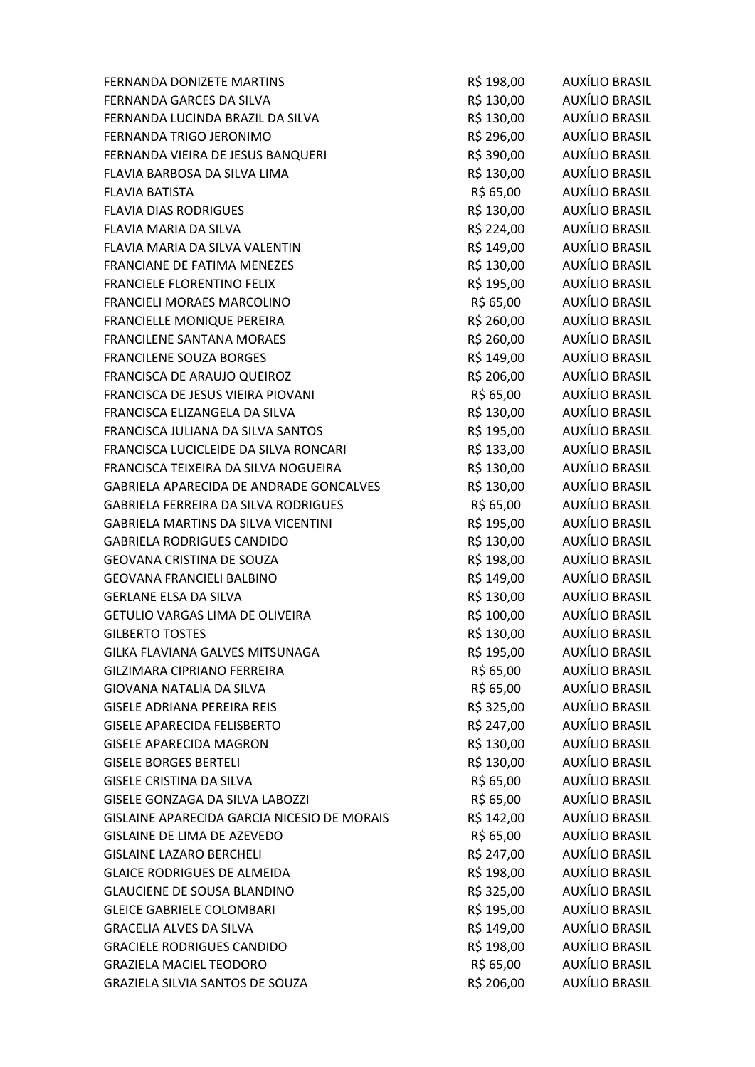| FERNANDA DONIZETE MARTINS                   | R\$ 198,00 | AUXÍLIO BRASIL        |
|---------------------------------------------|------------|-----------------------|
| FERNANDA GARCES DA SILVA                    | R\$ 130,00 | AUXÍLIO BRASIL        |
| FERNANDA LUCINDA BRAZIL DA SILVA            | R\$ 130,00 | AUXÍLIO BRASIL        |
| FERNANDA TRIGO JERONIMO                     | R\$ 296,00 | AUXÍLIO BRASIL        |
| FERNANDA VIEIRA DE JESUS BANQUERI           | R\$ 390,00 | AUXÍLIO BRASIL        |
| FLAVIA BARBOSA DA SILVA LIMA                | R\$ 130,00 | AUXÍLIO BRASIL        |
| <b>FLAVIA BATISTA</b>                       | R\$ 65,00  | AUXÍLIO BRASIL        |
| <b>FLAVIA DIAS RODRIGUES</b>                | R\$ 130,00 | AUXÍLIO BRASIL        |
| <b>FLAVIA MARIA DA SILVA</b>                | R\$ 224,00 | AUXÍLIO BRASIL        |
| FLAVIA MARIA DA SILVA VALENTIN              | R\$ 149,00 | AUXÍLIO BRASIL        |
| FRANCIANE DE FATIMA MENEZES                 | R\$ 130,00 | AUXÍLIO BRASIL        |
| <b>FRANCIELE FLORENTINO FELIX</b>           | R\$ 195,00 | AUXÍLIO BRASIL        |
| FRANCIELI MORAES MARCOLINO                  | R\$ 65,00  | AUXÍLIO BRASIL        |
| FRANCIELLE MONIQUE PEREIRA                  | R\$ 260,00 | AUXÍLIO BRASIL        |
| FRANCILENE SANTANA MORAES                   | R\$ 260,00 | AUXÍLIO BRASIL        |
| <b>FRANCILENE SOUZA BORGES</b>              | R\$ 149,00 | AUXÍLIO BRASIL        |
| FRANCISCA DE ARAUJO QUEIROZ                 | R\$ 206,00 | AUXÍLIO BRASIL        |
| FRANCISCA DE JESUS VIEIRA PIOVANI           | R\$ 65,00  | AUXÍLIO BRASIL        |
| FRANCISCA ELIZANGELA DA SILVA               | R\$ 130,00 | AUXÍLIO BRASIL        |
| FRANCISCA JULIANA DA SILVA SANTOS           | R\$ 195,00 | AUXÍLIO BRASIL        |
| FRANCISCA LUCICLEIDE DA SILVA RONCARI       | R\$ 133,00 | AUXÍLIO BRASIL        |
| FRANCISCA TEIXEIRA DA SILVA NOGUEIRA        | R\$ 130,00 | AUXÍLIO BRASIL        |
| GABRIELA APARECIDA DE ANDRADE GONCALVES     | R\$ 130,00 | AUXÍLIO BRASIL        |
| <b>GABRIELA FERREIRA DA SILVA RODRIGUES</b> | R\$ 65,00  | AUXÍLIO BRASIL        |
| <b>GABRIELA MARTINS DA SILVA VICENTINI</b>  | R\$ 195,00 | AUXÍLIO BRASIL        |
| <b>GABRIELA RODRIGUES CANDIDO</b>           | R\$ 130,00 | AUXÍLIO BRASIL        |
| <b>GEOVANA CRISTINA DE SOUZA</b>            | R\$ 198,00 | AUXÍLIO BRASIL        |
| <b>GEOVANA FRANCIELI BALBINO</b>            | R\$ 149,00 | AUXÍLIO BRASIL        |
| <b>GERLANE ELSA DA SILVA</b>                | R\$ 130,00 | AUXÍLIO BRASIL        |
| GETULIO VARGAS LIMA DE OLIVEIRA             | R\$ 100,00 | AUXÍLIO BRASIL        |
| <b>GILBERTO TOSTES</b>                      | R\$ 130,00 | <b>AUXÍLIO BRASIL</b> |
| GILKA FLAVIANA GALVES MITSUNAGA             | R\$ 195,00 | <b>AUXÍLIO BRASIL</b> |
| <b>GILZIMARA CIPRIANO FERREIRA</b>          | R\$ 65,00  | AUXÍLIO BRASIL        |
| GIOVANA NATALIA DA SILVA                    | R\$ 65,00  | AUXÍLIO BRASIL        |
| <b>GISELE ADRIANA PEREIRA REIS</b>          | R\$ 325,00 | AUXÍLIO BRASIL        |
| <b>GISELE APARECIDA FELISBERTO</b>          | R\$ 247,00 | AUXÍLIO BRASIL        |
| <b>GISELE APARECIDA MAGRON</b>              | R\$ 130,00 | <b>AUXÍLIO BRASIL</b> |
| <b>GISELE BORGES BERTELI</b>                | R\$ 130,00 | <b>AUXÍLIO BRASIL</b> |
| <b>GISELE CRISTINA DA SILVA</b>             | R\$ 65,00  | AUXÍLIO BRASIL        |
| GISELE GONZAGA DA SILVA LABOZZI             | R\$ 65,00  | <b>AUXÍLIO BRASIL</b> |
| GISLAINE APARECIDA GARCIA NICESIO DE MORAIS | R\$ 142,00 | <b>AUXÍLIO BRASIL</b> |
| GISLAINE DE LIMA DE AZEVEDO                 | R\$ 65,00  | <b>AUXÍLIO BRASIL</b> |
| <b>GISLAINE LAZARO BERCHELI</b>             | R\$ 247,00 | <b>AUXÍLIO BRASIL</b> |
| <b>GLAICE RODRIGUES DE ALMEIDA</b>          | R\$ 198,00 | <b>AUXÍLIO BRASIL</b> |
| <b>GLAUCIENE DE SOUSA BLANDINO</b>          | R\$ 325,00 | <b>AUXÍLIO BRASIL</b> |
| <b>GLEICE GABRIELE COLOMBARI</b>            | R\$ 195,00 | <b>AUXÍLIO BRASIL</b> |
| <b>GRACELIA ALVES DA SILVA</b>              | R\$ 149,00 | <b>AUXÍLIO BRASIL</b> |
| <b>GRACIELE RODRIGUES CANDIDO</b>           | R\$ 198,00 | <b>AUXÍLIO BRASIL</b> |
| <b>GRAZIELA MACIEL TEODORO</b>              | R\$ 65,00  | AUXÍLIO BRASIL        |
| GRAZIELA SILVIA SANTOS DE SOUZA             | R\$ 206,00 | <b>AUXÍLIO BRASIL</b> |
|                                             |            |                       |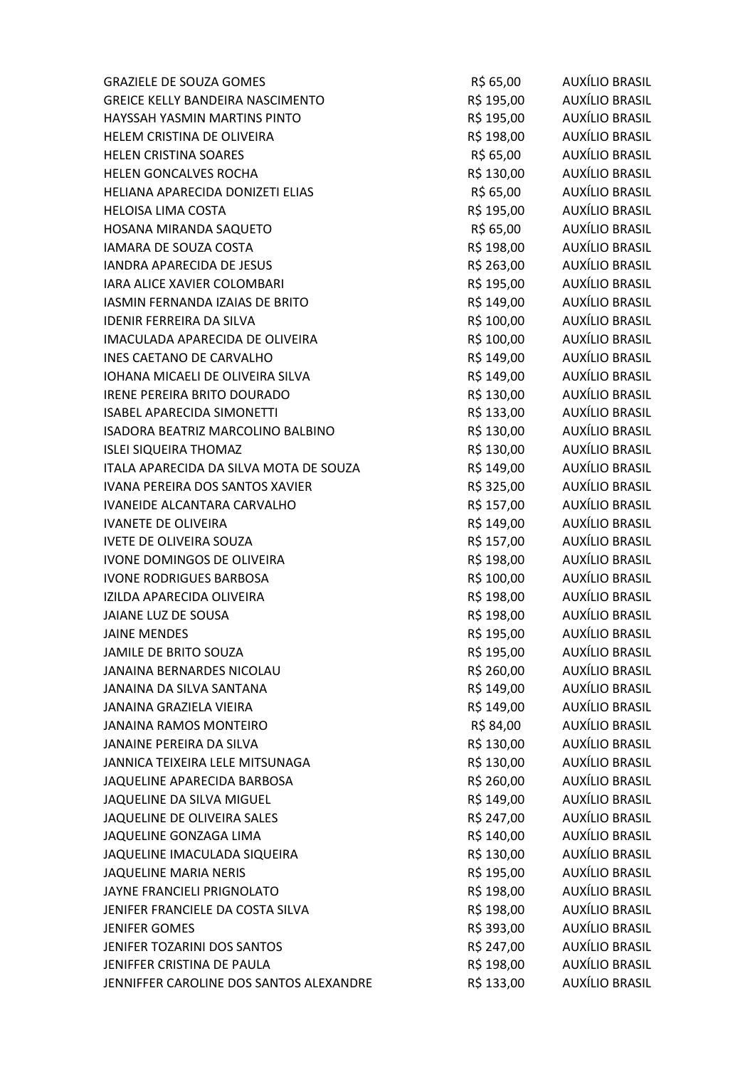| <b>GRAZIELE DE SOUZA GOMES</b>          | R\$ 65,00  | AUXÍLIO BRASIL        |
|-----------------------------------------|------------|-----------------------|
| <b>GREICE KELLY BANDEIRA NASCIMENTO</b> | R\$ 195,00 | <b>AUXÍLIO BRASIL</b> |
| HAYSSAH YASMIN MARTINS PINTO            | R\$ 195,00 | AUXÍLIO BRASIL        |
| HELEM CRISTINA DE OLIVEIRA              | R\$ 198,00 | AUXÍLIO BRASIL        |
| <b>HELEN CRISTINA SOARES</b>            | R\$ 65,00  | AUXÍLIO BRASIL        |
| HELEN GONCALVES ROCHA                   | R\$ 130,00 | AUXÍLIO BRASIL        |
| HELIANA APARECIDA DONIZETI ELIAS        | R\$ 65,00  | AUXÍLIO BRASIL        |
| <b>HELOISA LIMA COSTA</b>               | R\$ 195,00 | AUXÍLIO BRASIL        |
| HOSANA MIRANDA SAQUETO                  | R\$ 65,00  | AUXÍLIO BRASIL        |
| IAMARA DE SOUZA COSTA                   | R\$ 198,00 | AUXÍLIO BRASIL        |
| <b>IANDRA APARECIDA DE JESUS</b>        | R\$ 263,00 | AUXÍLIO BRASIL        |
| IARA ALICE XAVIER COLOMBARI             | R\$ 195,00 | AUXÍLIO BRASIL        |
| IASMIN FERNANDA IZAIAS DE BRITO         | R\$ 149,00 | AUXÍLIO BRASIL        |
| <b>IDENIR FERREIRA DA SILVA</b>         | R\$ 100,00 | AUXÍLIO BRASIL        |
| IMACULADA APARECIDA DE OLIVEIRA         | R\$ 100,00 | AUXÍLIO BRASIL        |
| <b>INES CAETANO DE CARVALHO</b>         | R\$ 149,00 | AUXÍLIO BRASIL        |
| IOHANA MICAELI DE OLIVEIRA SILVA        | R\$ 149,00 | AUXÍLIO BRASIL        |
| <b>IRENE PEREIRA BRITO DOURADO</b>      | R\$ 130,00 | AUXÍLIO BRASIL        |
| <b>ISABEL APARECIDA SIMONETTI</b>       | R\$ 133,00 | AUXÍLIO BRASIL        |
| ISADORA BEATRIZ MARCOLINO BALBINO       | R\$ 130,00 | AUXÍLIO BRASIL        |
| <b>ISLEI SIQUEIRA THOMAZ</b>            | R\$ 130,00 | AUXÍLIO BRASIL        |
| ITALA APARECIDA DA SILVA MOTA DE SOUZA  | R\$ 149,00 | AUXÍLIO BRASIL        |
| IVANA PEREIRA DOS SANTOS XAVIER         | R\$ 325,00 | AUXÍLIO BRASIL        |
| IVANEIDE ALCANTARA CARVALHO             | R\$ 157,00 | <b>AUXÍLIO BRASIL</b> |
| <b>IVANETE DE OLIVEIRA</b>              | R\$ 149,00 | AUXÍLIO BRASIL        |
| <b>IVETE DE OLIVEIRA SOUZA</b>          | R\$ 157,00 | AUXÍLIO BRASIL        |
| IVONE DOMINGOS DE OLIVEIRA              | R\$ 198,00 | AUXÍLIO BRASIL        |
| <b>IVONE RODRIGUES BARBOSA</b>          | R\$ 100,00 | AUXÍLIO BRASIL        |
| IZILDA APARECIDA OLIVEIRA               | R\$ 198,00 | AUXÍLIO BRASIL        |
| <b>JAIANE LUZ DE SOUSA</b>              | R\$ 198,00 | AUXÍLIO BRASIL        |
| <b>JAINE MENDES</b>                     | R\$ 195,00 | <b>AUXÍLIO BRASIL</b> |
| JAMILE DE BRITO SOUZA                   | R\$ 195,00 | AUXÍLIO BRASIL        |
| JANAINA BERNARDES NICOLAU               | R\$ 260,00 | <b>AUXÍLIO BRASIL</b> |
| JANAINA DA SILVA SANTANA                | R\$ 149,00 | AUXÍLIO BRASIL        |
| <b>JANAINA GRAZIELA VIEIRA</b>          | R\$ 149,00 | <b>AUXÍLIO BRASIL</b> |
| <b>JANAINA RAMOS MONTEIRO</b>           | R\$ 84,00  | AUXÍLIO BRASIL        |
| <b>JANAINE PEREIRA DA SILVA</b>         | R\$ 130,00 | AUXÍLIO BRASIL        |
| JANNICA TEIXEIRA LELE MITSUNAGA         | R\$ 130,00 | <b>AUXÍLIO BRASIL</b> |
| JAQUELINE APARECIDA BARBOSA             | R\$ 260,00 | AUXÍLIO BRASIL        |
| JAQUELINE DA SILVA MIGUEL               | R\$ 149,00 | <b>AUXÍLIO BRASIL</b> |
| JAQUELINE DE OLIVEIRA SALES             | R\$ 247,00 | AUXÍLIO BRASIL        |
| JAQUELINE GONZAGA LIMA                  | R\$ 140,00 | AUXÍLIO BRASIL        |
| JAQUELINE IMACULADA SIQUEIRA            | R\$ 130,00 | AUXÍLIO BRASIL        |
| <b>JAQUELINE MARIA NERIS</b>            | R\$ 195,00 | AUXÍLIO BRASIL        |
| JAYNE FRANCIELI PRIGNOLATO              | R\$ 198,00 | <b>AUXÍLIO BRASIL</b> |
| JENIFER FRANCIELE DA COSTA SILVA        | R\$ 198,00 | AUXÍLIO BRASIL        |
| <b>JENIFER GOMES</b>                    | R\$ 393,00 | AUXÍLIO BRASIL        |
| JENIFER TOZARINI DOS SANTOS             | R\$ 247,00 | AUXÍLIO BRASIL        |
| JENIFFER CRISTINA DE PAULA              | R\$ 198,00 | AUXÍLIO BRASIL        |
| JENNIFFER CAROLINE DOS SANTOS ALEXANDRE | R\$ 133,00 | <b>AUXÍLIO BRASIL</b> |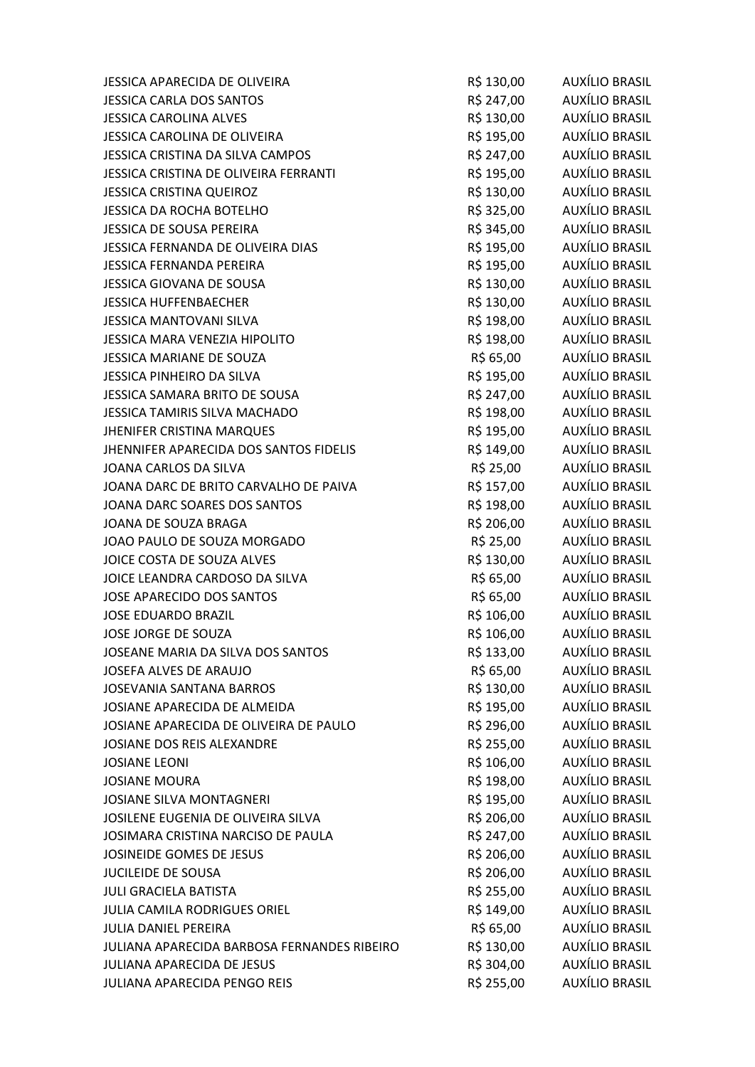| JESSICA APARECIDA DE OLIVEIRA               | R\$ 130,00 | AUXÍLIO BRASIL        |
|---------------------------------------------|------------|-----------------------|
| <b>JESSICA CARLA DOS SANTOS</b>             | R\$ 247,00 | <b>AUXÍLIO BRASIL</b> |
| <b>JESSICA CAROLINA ALVES</b>               | R\$ 130,00 | AUXÍLIO BRASIL        |
| JESSICA CAROLINA DE OLIVEIRA                | R\$ 195,00 | AUXÍLIO BRASIL        |
| JESSICA CRISTINA DA SILVA CAMPOS            | R\$ 247,00 | <b>AUXÍLIO BRASIL</b> |
| JESSICA CRISTINA DE OLIVEIRA FERRANTI       | R\$ 195,00 | AUXÍLIO BRASIL        |
| <b>JESSICA CRISTINA QUEIROZ</b>             | R\$ 130,00 | AUXÍLIO BRASIL        |
| <b>JESSICA DA ROCHA BOTELHO</b>             | R\$ 325,00 | AUXÍLIO BRASIL        |
| JESSICA DE SOUSA PEREIRA                    | R\$ 345,00 | AUXÍLIO BRASIL        |
| JESSICA FERNANDA DE OLIVEIRA DIAS           | R\$ 195,00 | AUXÍLIO BRASIL        |
| <b>JESSICA FERNANDA PEREIRA</b>             | R\$ 195,00 | AUXÍLIO BRASIL        |
| JESSICA GIOVANA DE SOUSA                    | R\$ 130,00 | AUXÍLIO BRASIL        |
| <b>JESSICA HUFFENBAECHER</b>                | R\$ 130,00 | AUXÍLIO BRASIL        |
| JESSICA MANTOVANI SILVA                     | R\$ 198,00 | AUXÍLIO BRASIL        |
| JESSICA MARA VENEZIA HIPOLITO               | R\$ 198,00 | AUXÍLIO BRASIL        |
| JESSICA MARIANE DE SOUZA                    | R\$ 65,00  | AUXÍLIO BRASIL        |
| JESSICA PINHEIRO DA SILVA                   | R\$ 195,00 | AUXÍLIO BRASIL        |
| JESSICA SAMARA BRITO DE SOUSA               | R\$ 247,00 | AUXÍLIO BRASIL        |
| JESSICA TAMIRIS SILVA MACHADO               | R\$ 198,00 | <b>AUXÍLIO BRASIL</b> |
| <b>JHENIFER CRISTINA MARQUES</b>            | R\$ 195,00 | AUXÍLIO BRASIL        |
| JHENNIFER APARECIDA DOS SANTOS FIDELIS      | R\$ 149,00 | AUXÍLIO BRASIL        |
| JOANA CARLOS DA SILVA                       | R\$ 25,00  | AUXÍLIO BRASIL        |
| JOANA DARC DE BRITO CARVALHO DE PAIVA       | R\$ 157,00 | AUXÍLIO BRASIL        |
| JOANA DARC SOARES DOS SANTOS                | R\$ 198,00 | <b>AUXÍLIO BRASIL</b> |
| JOANA DE SOUZA BRAGA                        | R\$ 206,00 | AUXÍLIO BRASIL        |
| JOAO PAULO DE SOUZA MORGADO                 | R\$ 25,00  | AUXÍLIO BRASIL        |
| JOICE COSTA DE SOUZA ALVES                  | R\$ 130,00 | AUXÍLIO BRASIL        |
| JOICE LEANDRA CARDOSO DA SILVA              | R\$ 65,00  | <b>AUXÍLIO BRASIL</b> |
| JOSE APARECIDO DOS SANTOS                   | R\$ 65,00  | AUXÍLIO BRASIL        |
| <b>JOSE EDUARDO BRAZIL</b>                  | R\$ 106,00 | AUXÍLIO BRASIL        |
| JOSE JORGE DE SOUZA                         | R\$ 106,00 | <b>AUXÍLIO BRASIL</b> |
| JOSEANE MARIA DA SILVA DOS SANTOS           | R\$ 133,00 | AUXÍLIO BRASIL        |
| JOSEFA ALVES DE ARAUJO                      | R\$ 65,00  | <b>AUXÍLIO BRASIL</b> |
| <b>JOSEVANIA SANTANA BARROS</b>             | R\$ 130,00 | <b>AUXÍLIO BRASIL</b> |
| JOSIANE APARECIDA DE ALMEIDA                | R\$ 195,00 | AUXÍLIO BRASIL        |
| JOSIANE APARECIDA DE OLIVEIRA DE PAULO      | R\$ 296,00 | AUXÍLIO BRASIL        |
| JOSIANE DOS REIS ALEXANDRE                  | R\$ 255,00 | <b>AUXÍLIO BRASIL</b> |
| <b>JOSIANE LEONI</b>                        | R\$ 106,00 | AUXÍLIO BRASIL        |
| <b>JOSIANE MOURA</b>                        | R\$ 198,00 | AUXÍLIO BRASIL        |
| <b>JOSIANE SILVA MONTAGNERI</b>             | R\$ 195,00 | AUXÍLIO BRASIL        |
| JOSILENE EUGENIA DE OLIVEIRA SILVA          | R\$ 206,00 | AUXÍLIO BRASIL        |
| JOSIMARA CRISTINA NARCISO DE PAULA          | R\$ 247,00 | <b>AUXÍLIO BRASIL</b> |
| JOSINEIDE GOMES DE JESUS                    | R\$ 206,00 | AUXÍLIO BRASIL        |
| <b>JUCILEIDE DE SOUSA</b>                   | R\$ 206,00 | <b>AUXÍLIO BRASIL</b> |
| <b>JULI GRACIELA BATISTA</b>                | R\$ 255,00 | <b>AUXÍLIO BRASIL</b> |
| <b>JULIA CAMILA RODRIGUES ORIEL</b>         | R\$ 149,00 | AUXÍLIO BRASIL        |
| <b>JULIA DANIEL PEREIRA</b>                 | R\$ 65,00  | AUXÍLIO BRASIL        |
| JULIANA APARECIDA BARBOSA FERNANDES RIBEIRO | R\$ 130,00 | AUXÍLIO BRASIL        |
| JULIANA APARECIDA DE JESUS                  | R\$ 304,00 | <b>AUXÍLIO BRASIL</b> |
| JULIANA APARECIDA PENGO REIS                | R\$ 255,00 | AUXÍLIO BRASIL        |
|                                             |            |                       |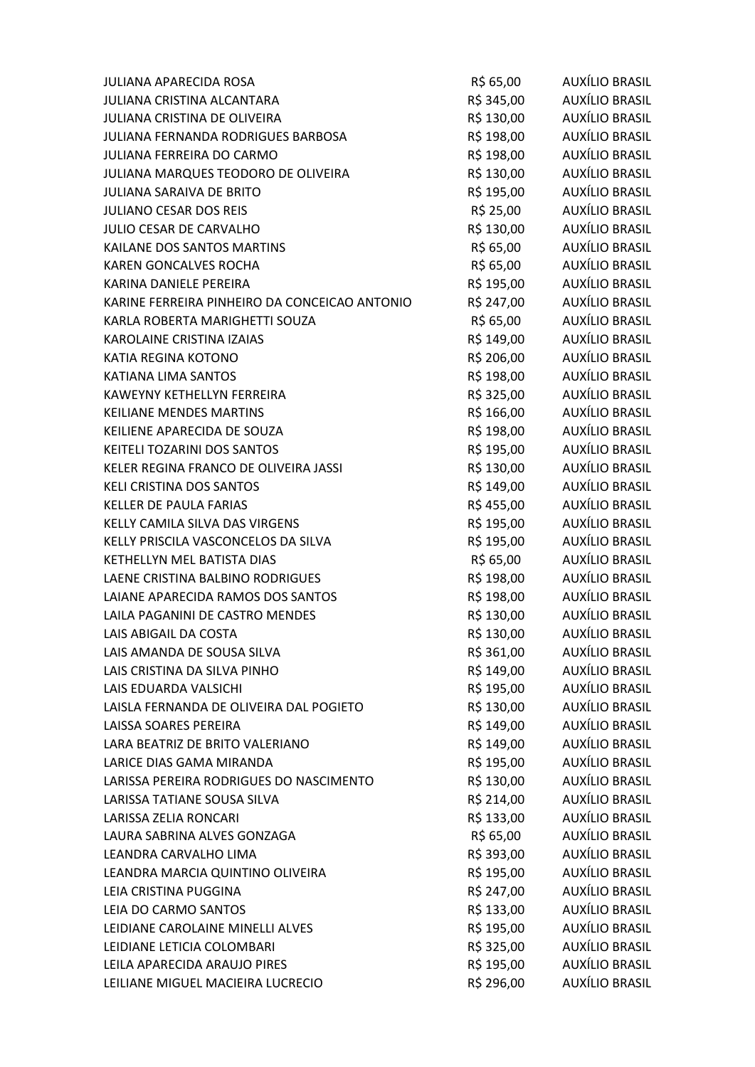| JULIANA APARECIDA ROSA                        | R\$ 65,00  | AUXÍLIO BRASIL        |
|-----------------------------------------------|------------|-----------------------|
| JULIANA CRISTINA ALCANTARA                    | R\$ 345,00 | AUXÍLIO BRASIL        |
| JULIANA CRISTINA DE OLIVEIRA                  | R\$ 130,00 | AUXÍLIO BRASIL        |
| JULIANA FERNANDA RODRIGUES BARBOSA            | R\$ 198,00 | AUXÍLIO BRASIL        |
| JULIANA FERREIRA DO CARMO                     | R\$ 198,00 | AUXÍLIO BRASIL        |
| JULIANA MARQUES TEODORO DE OLIVEIRA           | R\$ 130,00 | <b>AUXÍLIO BRASIL</b> |
| <b>JULIANA SARAIVA DE BRITO</b>               | R\$ 195,00 | AUXÍLIO BRASIL        |
| <b>JULIANO CESAR DOS REIS</b>                 | R\$ 25,00  | AUXÍLIO BRASIL        |
| JULIO CESAR DE CARVALHO                       | R\$ 130,00 | AUXÍLIO BRASIL        |
| KAILANE DOS SANTOS MARTINS                    | R\$ 65,00  | <b>AUXÍLIO BRASIL</b> |
| <b>KAREN GONCALVES ROCHA</b>                  | R\$ 65,00  | AUXÍLIO BRASIL        |
| KARINA DANIELE PEREIRA                        | R\$ 195,00 | AUXÍLIO BRASIL        |
| KARINE FERREIRA PINHEIRO DA CONCEICAO ANTONIO | R\$ 247,00 | AUXÍLIO BRASIL        |
| KARLA ROBERTA MARIGHETTI SOUZA                | R\$ 65,00  | <b>AUXÍLIO BRASIL</b> |
| <b>KAROLAINE CRISTINA IZAIAS</b>              | R\$ 149,00 | AUXÍLIO BRASIL        |
| KATIA REGINA KOTONO                           | R\$ 206,00 | AUXÍLIO BRASIL        |
| KATIANA LIMA SANTOS                           | R\$ 198,00 | AUXÍLIO BRASIL        |
| KAWEYNY KETHELLYN FERREIRA                    | R\$ 325,00 | <b>AUXÍLIO BRASIL</b> |
| <b>KEILIANE MENDES MARTINS</b>                | R\$ 166,00 | AUXÍLIO BRASIL        |
| KEILIENE APARECIDA DE SOUZA                   | R\$ 198,00 | AUXÍLIO BRASIL        |
| KEITELI TOZARINI DOS SANTOS                   | R\$ 195,00 | AUXÍLIO BRASIL        |
| KELER REGINA FRANCO DE OLIVEIRA JASSI         | R\$ 130,00 | AUXÍLIO BRASIL        |
| KELI CRISTINA DOS SANTOS                      | R\$ 149,00 | AUXÍLIO BRASIL        |
| <b>KELLER DE PAULA FARIAS</b>                 | R\$ 455,00 | AUXÍLIO BRASIL        |
| KELLY CAMILA SILVA DAS VIRGENS                | R\$ 195,00 | <b>AUXÍLIO BRASIL</b> |
| KELLY PRISCILA VASCONCELOS DA SILVA           | R\$ 195,00 | <b>AUXÍLIO BRASIL</b> |
| KETHELLYN MEL BATISTA DIAS                    | R\$ 65,00  | AUXÍLIO BRASIL        |
| LAENE CRISTINA BALBINO RODRIGUES              | R\$ 198,00 | <b>AUXÍLIO BRASIL</b> |
| LAIANE APARECIDA RAMOS DOS SANTOS             | R\$ 198,00 | AUXÍLIO BRASIL        |
| LAILA PAGANINI DE CASTRO MENDES               | R\$ 130,00 | AUXÍLIO BRASIL        |
| LAIS ABIGAIL DA COSTA                         | R\$ 130,00 | AUXÍLIO BRASIL        |
| LAIS AMANDA DE SOUSA SILVA                    | R\$ 361,00 | AUXÍLIO BRASIL        |
| LAIS CRISTINA DA SILVA PINHO                  | R\$ 149,00 | <b>AUXÍLIO BRASIL</b> |
| LAIS EDUARDA VALSICHI                         | R\$ 195,00 | <b>AUXÍLIO BRASIL</b> |
| LAISLA FERNANDA DE OLIVEIRA DAL POGIETO       | R\$ 130,00 | AUXÍLIO BRASIL        |
| LAISSA SOARES PEREIRA                         | R\$ 149,00 | <b>AUXÍLIO BRASIL</b> |
| LARA BEATRIZ DE BRITO VALERIANO               | R\$ 149,00 | <b>AUXÍLIO BRASIL</b> |
| LARICE DIAS GAMA MIRANDA                      | R\$ 195,00 | <b>AUXÍLIO BRASIL</b> |
| LARISSA PEREIRA RODRIGUES DO NASCIMENTO       | R\$ 130,00 | <b>AUXÍLIO BRASIL</b> |
| LARISSA TATIANE SOUSA SILVA                   | R\$ 214,00 | AUXÍLIO BRASIL        |
| LARISSA ZELIA RONCARI                         | R\$ 133,00 | <b>AUXÍLIO BRASIL</b> |
| LAURA SABRINA ALVES GONZAGA                   | R\$ 65,00  | AUXÍLIO BRASIL        |
| LEANDRA CARVALHO LIMA                         | R\$ 393,00 | <b>AUXÍLIO BRASIL</b> |
| LEANDRA MARCIA QUINTINO OLIVEIRA              | R\$ 195,00 | <b>AUXÍLIO BRASIL</b> |
| LEIA CRISTINA PUGGINA                         | R\$ 247,00 | AUXÍLIO BRASIL        |
| LEIA DO CARMO SANTOS                          | R\$ 133,00 | <b>AUXÍLIO BRASIL</b> |
| LEIDIANE CAROLAINE MINELLI ALVES              | R\$ 195,00 | <b>AUXÍLIO BRASIL</b> |
| LEIDIANE LETICIA COLOMBARI                    | R\$ 325,00 | <b>AUXÍLIO BRASIL</b> |
| LEILA APARECIDA ARAUJO PIRES                  | R\$ 195,00 | <b>AUXÍLIO BRASIL</b> |
| LEILIANE MIGUEL MACIEIRA LUCRECIO             | R\$ 296,00 | <b>AUXÍLIO BRASIL</b> |
|                                               |            |                       |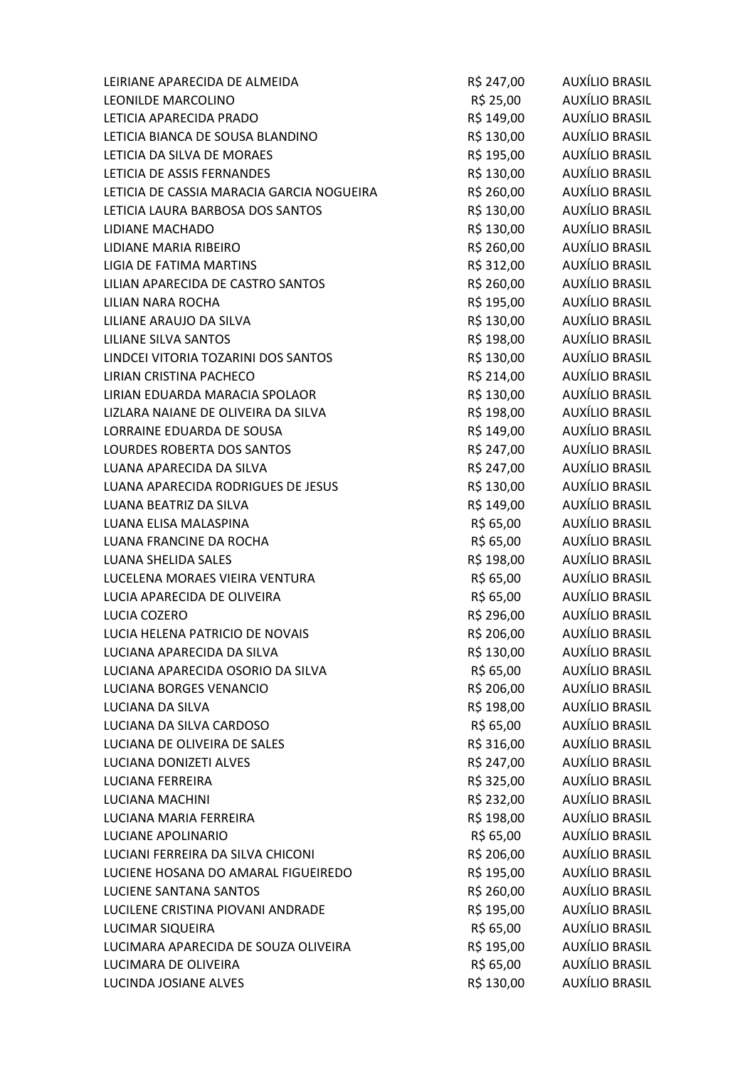| LEIRIANE APARECIDA DE ALMEIDA             | R\$ 247,00 | AUXÍLIO BRASIL        |
|-------------------------------------------|------------|-----------------------|
| LEONILDE MARCOLINO                        | R\$ 25,00  | <b>AUXÍLIO BRASIL</b> |
| LETICIA APARECIDA PRADO                   | R\$ 149,00 | <b>AUXÍLIO BRASIL</b> |
| LETICIA BIANCA DE SOUSA BLANDINO          | R\$ 130,00 | AUXÍLIO BRASIL        |
| LETICIA DA SILVA DE MORAES                | R\$ 195,00 | <b>AUXÍLIO BRASIL</b> |
| LETICIA DE ASSIS FERNANDES                | R\$ 130,00 | AUXÍLIO BRASIL        |
| LETICIA DE CASSIA MARACIA GARCIA NOGUEIRA | R\$ 260,00 | AUXÍLIO BRASIL        |
| LETICIA LAURA BARBOSA DOS SANTOS          | R\$ 130,00 | AUXÍLIO BRASIL        |
| <b>LIDIANE MACHADO</b>                    | R\$ 130,00 | <b>AUXÍLIO BRASIL</b> |
| LIDIANE MARIA RIBEIRO                     | R\$ 260,00 | <b>AUXÍLIO BRASIL</b> |
| LIGIA DE FATIMA MARTINS                   | R\$ 312,00 | AUXÍLIO BRASIL        |
| LILIAN APARECIDA DE CASTRO SANTOS         | R\$ 260,00 | AUXÍLIO BRASIL        |
| LILIAN NARA ROCHA                         | R\$ 195,00 | <b>AUXÍLIO BRASIL</b> |
| LILIANE ARAUJO DA SILVA                   | R\$ 130,00 | <b>AUXÍLIO BRASIL</b> |
| <b>LILIANE SILVA SANTOS</b>               | R\$ 198,00 | AUXÍLIO BRASIL        |
| LINDCEI VITORIA TOZARINI DOS SANTOS       | R\$ 130,00 | AUXÍLIO BRASIL        |
| LIRIAN CRISTINA PACHECO                   | R\$ 214,00 | <b>AUXÍLIO BRASIL</b> |
| LIRIAN EDUARDA MARACIA SPOLAOR            | R\$ 130,00 | <b>AUXÍLIO BRASIL</b> |
| LIZLARA NAIANE DE OLIVEIRA DA SILVA       | R\$ 198,00 | <b>AUXÍLIO BRASIL</b> |
| LORRAINE EDUARDA DE SOUSA                 | R\$ 149,00 | AUXÍLIO BRASIL        |
| LOURDES ROBERTA DOS SANTOS                | R\$ 247,00 | AUXÍLIO BRASIL        |
| LUANA APARECIDA DA SILVA                  | R\$ 247,00 | AUXÍLIO BRASIL        |
| LUANA APARECIDA RODRIGUES DE JESUS        | R\$ 130,00 | <b>AUXÍLIO BRASIL</b> |
| LUANA BEATRIZ DA SILVA                    | R\$ 149,00 | <b>AUXÍLIO BRASIL</b> |
| LUANA ELISA MALASPINA                     | R\$ 65,00  | AUXÍLIO BRASIL        |
| LUANA FRANCINE DA ROCHA                   | R\$ 65,00  | AUXÍLIO BRASIL        |
| LUANA SHELIDA SALES                       | R\$ 198,00 | AUXÍLIO BRASIL        |
| LUCELENA MORAES VIEIRA VENTURA            | R\$ 65,00  | <b>AUXÍLIO BRASIL</b> |
| LUCIA APARECIDA DE OLIVEIRA               | R\$ 65,00  | AUXÍLIO BRASIL        |
| LUCIA COZERO                              | R\$ 296,00 | AUXÍLIO BRASIL        |
| LUCIA HELENA PATRICIO DE NOVAIS           | R\$ 206,00 | <b>AUXÍLIO BRASIL</b> |
| LUCIANA APARECIDA DA SILVA                | R\$ 130,00 | AUXÍLIO BRASIL        |
| LUCIANA APARECIDA OSORIO DA SILVA         | R\$ 65,00  | <b>AUXÍLIO BRASIL</b> |
| LUCIANA BORGES VENANCIO                   | R\$ 206,00 | <b>AUXÍLIO BRASIL</b> |
| <b>LUCIANA DA SILVA</b>                   | R\$ 198,00 | <b>AUXÍLIO BRASIL</b> |
| LUCIANA DA SILVA CARDOSO                  | R\$ 65,00  | <b>AUXÍLIO BRASIL</b> |
| LUCIANA DE OLIVEIRA DE SALES              | R\$ 316,00 | AUXÍLIO BRASIL        |
| LUCIANA DONIZETI ALVES                    | R\$ 247,00 | AUXÍLIO BRASIL        |
| LUCIANA FERREIRA                          | R\$ 325,00 | <b>AUXÍLIO BRASIL</b> |
| <b>LUCIANA MACHINI</b>                    | R\$ 232,00 | <b>AUXÍLIO BRASIL</b> |
| LUCIANA MARIA FERREIRA                    | R\$ 198,00 | <b>AUXÍLIO BRASIL</b> |
| LUCIANE APOLINARIO                        | R\$ 65,00  | AUXÍLIO BRASIL        |
| LUCIANI FERREIRA DA SILVA CHICONI         | R\$ 206,00 | AUXÍLIO BRASIL        |
| LUCIENE HOSANA DO AMARAL FIGUEIREDO       | R\$ 195,00 | AUXÍLIO BRASIL        |
| <b>LUCIENE SANTANA SANTOS</b>             | R\$ 260,00 | <b>AUXÍLIO BRASIL</b> |
| LUCILENE CRISTINA PIOVANI ANDRADE         | R\$ 195,00 | AUXÍLIO BRASIL        |
| LUCIMAR SIQUEIRA                          | R\$ 65,00  | AUXÍLIO BRASIL        |
| LUCIMARA APARECIDA DE SOUZA OLIVEIRA      | R\$ 195,00 | AUXÍLIO BRASIL        |
| LUCIMARA DE OLIVEIRA                      | R\$ 65,00  | AUXÍLIO BRASIL        |
| LUCINDA JOSIANE ALVES                     | R\$ 130,00 | <b>AUXÍLIO BRASIL</b> |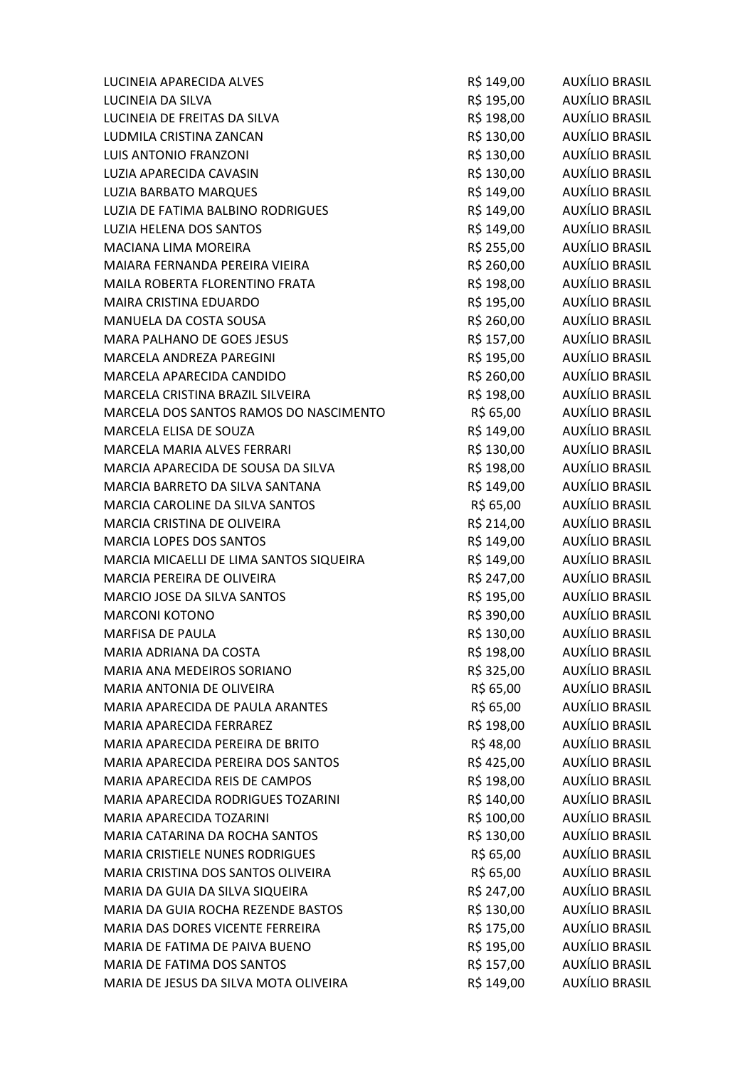| LUCINEIA APARECIDA ALVES                | R\$ 149,00 | AUXÍLIO BRASIL        |
|-----------------------------------------|------------|-----------------------|
| LUCINEIA DA SILVA                       | R\$ 195,00 | <b>AUXÍLIO BRASIL</b> |
| LUCINEIA DE FREITAS DA SILVA            | R\$ 198,00 | AUXÍLIO BRASIL        |
| LUDMILA CRISTINA ZANCAN                 | R\$ 130,00 | AUXÍLIO BRASIL        |
| <b>LUIS ANTONIO FRANZONI</b>            | R\$ 130,00 | AUXÍLIO BRASIL        |
| LUZIA APARECIDA CAVASIN                 | R\$ 130,00 | AUXÍLIO BRASIL        |
| LUZIA BARBATO MARQUES                   | R\$ 149,00 | AUXÍLIO BRASIL        |
| LUZIA DE FATIMA BALBINO RODRIGUES       | R\$ 149,00 | AUXÍLIO BRASIL        |
| LUZIA HELENA DOS SANTOS                 | R\$ 149,00 | <b>AUXÍLIO BRASIL</b> |
| <b>MACIANA LIMA MOREIRA</b>             | R\$ 255,00 | AUXÍLIO BRASIL        |
| MAIARA FERNANDA PEREIRA VIEIRA          | R\$ 260,00 | AUXÍLIO BRASIL        |
| MAILA ROBERTA FLORENTINO FRATA          | R\$ 198,00 | AUXÍLIO BRASIL        |
| MAIRA CRISTINA EDUARDO                  | R\$ 195,00 | AUXÍLIO BRASIL        |
| MANUELA DA COSTA SOUSA                  | R\$ 260,00 | <b>AUXÍLIO BRASIL</b> |
| MARA PALHANO DE GOES JESUS              | R\$ 157,00 | AUXÍLIO BRASIL        |
| MARCELA ANDREZA PAREGINI                | R\$ 195,00 | AUXÍLIO BRASIL        |
| MARCELA APARECIDA CANDIDO               | R\$ 260,00 | AUXÍLIO BRASIL        |
| MARCELA CRISTINA BRAZIL SILVEIRA        | R\$ 198,00 | AUXÍLIO BRASIL        |
| MARCELA DOS SANTOS RAMOS DO NASCIMENTO  | R\$ 65,00  | AUXÍLIO BRASIL        |
| MARCELA ELISA DE SOUZA                  | R\$ 149,00 | AUXÍLIO BRASIL        |
| MARCELA MARIA ALVES FERRARI             | R\$ 130,00 | AUXÍLIO BRASIL        |
| MARCIA APARECIDA DE SOUSA DA SILVA      | R\$ 198,00 | AUXÍLIO BRASIL        |
| MARCIA BARRETO DA SILVA SANTANA         | R\$ 149,00 | AUXÍLIO BRASIL        |
| MARCIA CAROLINE DA SILVA SANTOS         | R\$ 65,00  | AUXÍLIO BRASIL        |
| MARCIA CRISTINA DE OLIVEIRA             | R\$ 214,00 | AUXÍLIO BRASIL        |
| MARCIA LOPES DOS SANTOS                 | R\$ 149,00 | AUXÍLIO BRASIL        |
| MARCIA MICAELLI DE LIMA SANTOS SIQUEIRA | R\$ 149,00 | AUXÍLIO BRASIL        |
| MARCIA PEREIRA DE OLIVEIRA              | R\$ 247,00 | <b>AUXÍLIO BRASIL</b> |
| MARCIO JOSE DA SILVA SANTOS             | R\$ 195,00 | AUXÍLIO BRASIL        |
| <b>MARCONI KOTONO</b>                   | R\$ 390,00 | AUXÍLIO BRASIL        |
| <b>MARFISA DE PAULA</b>                 | R\$ 130,00 | AUXÍLIO BRASIL        |
| MARIA ADRIANA DA COSTA                  | R\$ 198,00 | AUXÍLIO BRASIL        |
| MARIA ANA MEDEIROS SORIANO              | R\$ 325,00 | <b>AUXÍLIO BRASIL</b> |
| MARIA ANTONIA DE OLIVEIRA               | R\$ 65,00  | <b>AUXÍLIO BRASIL</b> |
| MARIA APARECIDA DE PAULA ARANTES        | R\$ 65,00  | <b>AUXÍLIO BRASIL</b> |
| MARIA APARECIDA FERRAREZ                | R\$ 198,00 | <b>AUXÍLIO BRASIL</b> |
| MARIA APARECIDA PEREIRA DE BRITO        | R\$48,00   | AUXÍLIO BRASIL        |
| MARIA APARECIDA PEREIRA DOS SANTOS      | R\$425,00  | AUXÍLIO BRASIL        |
| MARIA APARECIDA REIS DE CAMPOS          | R\$ 198,00 | <b>AUXÍLIO BRASIL</b> |
| MARIA APARECIDA RODRIGUES TOZARINI      | R\$ 140,00 | <b>AUXÍLIO BRASIL</b> |
| MARIA APARECIDA TOZARINI                | R\$ 100,00 | <b>AUXÍLIO BRASIL</b> |
| MARIA CATARINA DA ROCHA SANTOS          | R\$ 130,00 | AUXÍLIO BRASIL        |
| MARIA CRISTIELE NUNES RODRIGUES         | R\$ 65,00  | <b>AUXÍLIO BRASIL</b> |
| MARIA CRISTINA DOS SANTOS OLIVEIRA      | R\$ 65,00  | <b>AUXÍLIO BRASIL</b> |
| MARIA DA GUIA DA SILVA SIQUEIRA         | R\$ 247,00 | <b>AUXÍLIO BRASIL</b> |
| MARIA DA GUIA ROCHA REZENDE BASTOS      | R\$ 130,00 | <b>AUXÍLIO BRASIL</b> |
| MARIA DAS DORES VICENTE FERREIRA        | R\$ 175,00 | <b>AUXÍLIO BRASIL</b> |
| MARIA DE FATIMA DE PAIVA BUENO          | R\$ 195,00 | AUXÍLIO BRASIL        |
| MARIA DE FATIMA DOS SANTOS              | R\$ 157,00 | <b>AUXÍLIO BRASIL</b> |
| MARIA DE JESUS DA SILVA MOTA OLIVEIRA   | R\$ 149,00 | AUXÍLIO BRASIL        |
|                                         |            |                       |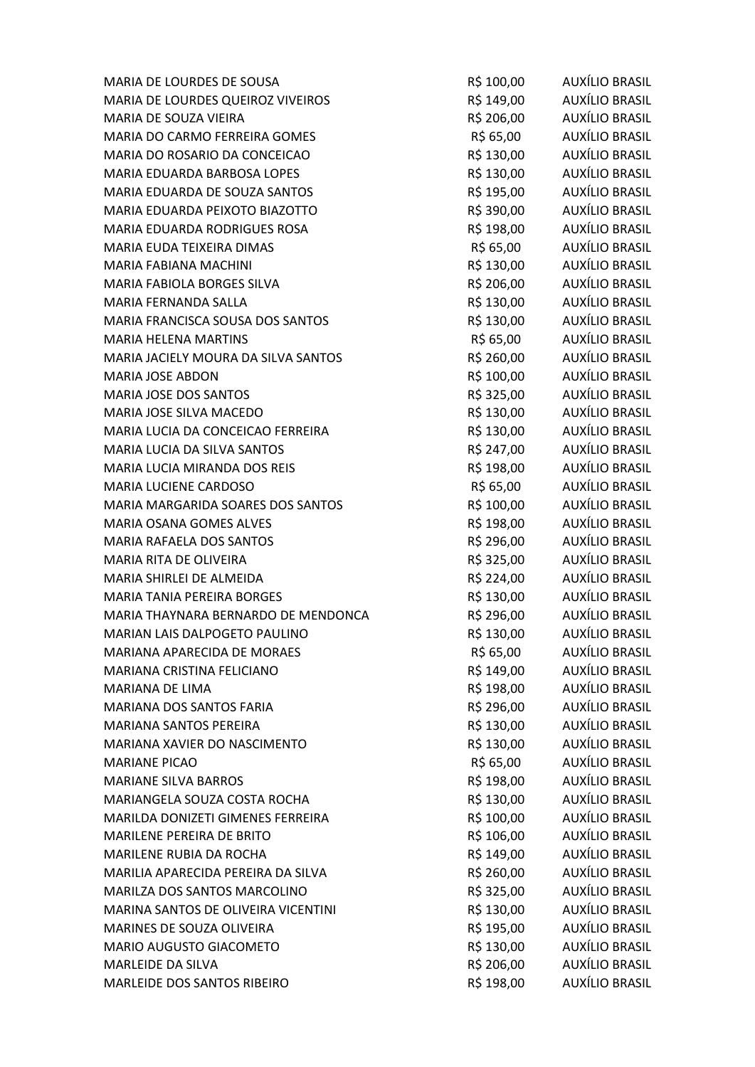| MARIA DE LOURDES DE SOUSA            | R\$ 100,00 | AUXÍLIO BRASIL        |
|--------------------------------------|------------|-----------------------|
| MARIA DE LOURDES QUEIROZ VIVEIROS    | R\$ 149,00 | AUXÍLIO BRASIL        |
| MARIA DE SOUZA VIEIRA                | R\$ 206,00 | AUXÍLIO BRASIL        |
| MARIA DO CARMO FERREIRA GOMES        | R\$ 65,00  | AUXÍLIO BRASIL        |
| MARIA DO ROSARIO DA CONCEICAO        | R\$ 130,00 | <b>AUXÍLIO BRASIL</b> |
| MARIA EDUARDA BARBOSA LOPES          | R\$ 130,00 | <b>AUXÍLIO BRASIL</b> |
| MARIA EDUARDA DE SOUZA SANTOS        | R\$ 195,00 | AUXÍLIO BRASIL        |
| MARIA EDUARDA PEIXOTO BIAZOTTO       | R\$ 390,00 | AUXÍLIO BRASIL        |
| MARIA EDUARDA RODRIGUES ROSA         | R\$ 198,00 | AUXÍLIO BRASIL        |
| MARIA EUDA TEIXEIRA DIMAS            | R\$ 65,00  | <b>AUXÍLIO BRASIL</b> |
| MARIA FABIANA MACHINI                | R\$ 130,00 | AUXÍLIO BRASIL        |
| MARIA FABIOLA BORGES SILVA           | R\$ 206,00 | AUXÍLIO BRASIL        |
| MARIA FERNANDA SALLA                 | R\$ 130,00 | AUXÍLIO BRASIL        |
| MARIA FRANCISCA SOUSA DOS SANTOS     | R\$ 130,00 | <b>AUXÍLIO BRASIL</b> |
| <b>MARIA HELENA MARTINS</b>          | R\$ 65,00  | <b>AUXÍLIO BRASIL</b> |
| MARIA JACIELY MOURA DA SILVA SANTOS  | R\$ 260,00 | AUXÍLIO BRASIL        |
| <b>MARIA JOSE ABDON</b>              | R\$ 100,00 | AUXÍLIO BRASIL        |
| <b>MARIA JOSE DOS SANTOS</b>         | R\$ 325,00 | <b>AUXÍLIO BRASIL</b> |
| MARIA JOSE SILVA MACEDO              | R\$ 130,00 | <b>AUXÍLIO BRASIL</b> |
| MARIA LUCIA DA CONCEICAO FERREIRA    | R\$ 130,00 | AUXÍLIO BRASIL        |
| MARIA LUCIA DA SILVA SANTOS          | R\$ 247,00 | AUXÍLIO BRASIL        |
| MARIA LUCIA MIRANDA DOS REIS         | R\$ 198,00 | AUXÍLIO BRASIL        |
| MARIA LUCIENE CARDOSO                | R\$ 65,00  | <b>AUXÍLIO BRASIL</b> |
| MARIA MARGARIDA SOARES DOS SANTOS    | R\$ 100,00 | <b>AUXÍLIO BRASIL</b> |
| MARIA OSANA GOMES ALVES              | R\$ 198,00 | AUXÍLIO BRASIL        |
| MARIA RAFAELA DOS SANTOS             | R\$ 296,00 | <b>AUXÍLIO BRASIL</b> |
| MARIA RITA DE OLIVEIRA               | R\$ 325,00 | AUXÍLIO BRASIL        |
| MARIA SHIRLEI DE ALMEIDA             | R\$ 224,00 | AUXÍLIO BRASIL        |
| MARIA TANIA PEREIRA BORGES           | R\$ 130,00 | <b>AUXÍLIO BRASIL</b> |
| MARIA THAYNARA BERNARDO DE MENDONCA  | R\$ 296,00 | <b>AUXÍLIO BRASIL</b> |
| <b>MARIAN LAIS DALPOGETO PAULINO</b> | R\$ 130,00 | <b>AUXÍLIO BRASIL</b> |
| <b>MARIANA APARECIDA DE MORAES</b>   | R\$ 65,00  | <b>AUXÍLIO BRASIL</b> |
| MARIANA CRISTINA FELICIANO           | R\$ 149,00 | AUXÍLIO BRASIL        |
| MARIANA DE LIMA                      | R\$ 198,00 | AUXÍLIO BRASIL        |
| <b>MARIANA DOS SANTOS FARIA</b>      | R\$ 296,00 | AUXÍLIO BRASIL        |
| MARIANA SANTOS PEREIRA               | R\$ 130,00 | AUXÍLIO BRASIL        |
| MARIANA XAVIER DO NASCIMENTO         | R\$ 130,00 | AUXÍLIO BRASIL        |
| <b>MARIANE PICAO</b>                 | R\$ 65,00  | AUXÍLIO BRASIL        |
| <b>MARIANE SILVA BARROS</b>          | R\$ 198,00 | AUXÍLIO BRASIL        |
| MARIANGELA SOUZA COSTA ROCHA         | R\$ 130,00 | AUXÍLIO BRASIL        |
| MARILDA DONIZETI GIMENES FERREIRA    | R\$ 100,00 | AUXÍLIO BRASIL        |
| <b>MARILENE PEREIRA DE BRITO</b>     | R\$ 106,00 | AUXÍLIO BRASIL        |
| MARILENE RUBIA DA ROCHA              | R\$ 149,00 | AUXÍLIO BRASIL        |
| MARILIA APARECIDA PEREIRA DA SILVA   | R\$ 260,00 | AUXÍLIO BRASIL        |
| MARILZA DOS SANTOS MARCOLINO         | R\$ 325,00 | AUXÍLIO BRASIL        |
| MARINA SANTOS DE OLIVEIRA VICENTINI  | R\$ 130,00 | AUXÍLIO BRASIL        |
| MARINES DE SOUZA OLIVEIRA            | R\$ 195,00 | AUXÍLIO BRASIL        |
| MARIO AUGUSTO GIACOMETO              | R\$ 130,00 | AUXÍLIO BRASIL        |
| MARLEIDE DA SILVA                    | R\$ 206,00 | AUXÍLIO BRASIL        |
| MARLEIDE DOS SANTOS RIBEIRO          | R\$ 198,00 | <b>AUXÍLIO BRASIL</b> |
|                                      |            |                       |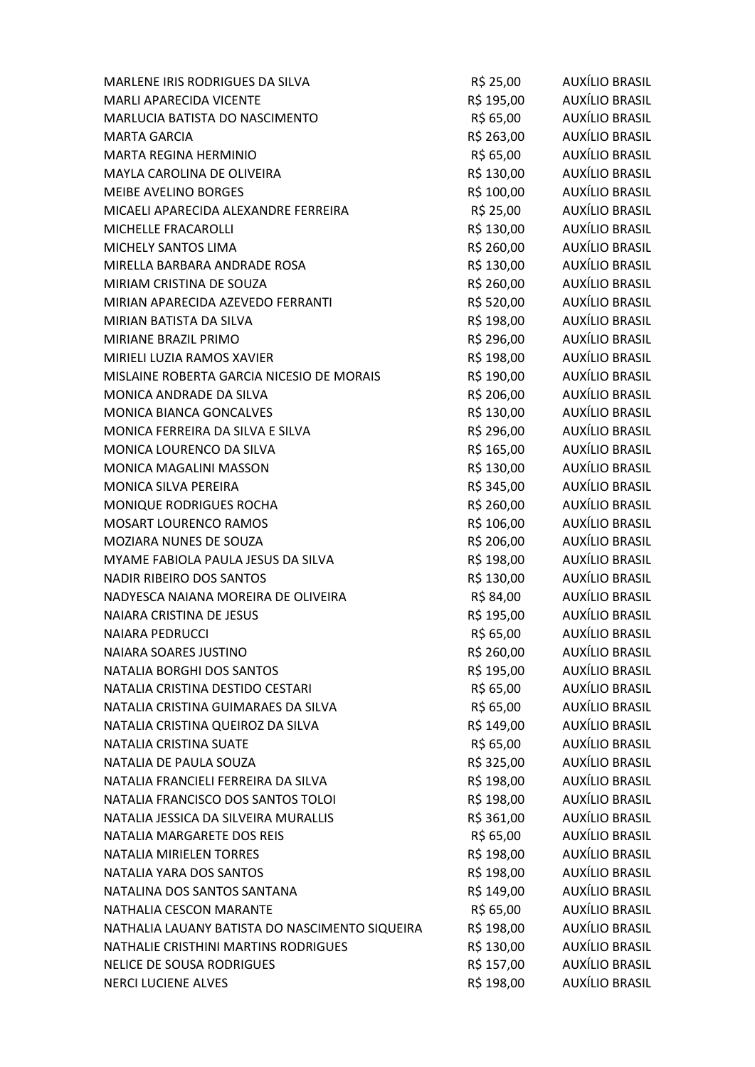| MARLENE IRIS RODRIGUES DA SILVA                | R\$ 25,00  | AUXÍLIO BRASIL        |
|------------------------------------------------|------------|-----------------------|
| <b>MARLI APARECIDA VICENTE</b>                 | R\$ 195,00 | <b>AUXÍLIO BRASIL</b> |
| MARLUCIA BATISTA DO NASCIMENTO                 | R\$ 65,00  | AUXÍLIO BRASIL        |
| <b>MARTA GARCIA</b>                            | R\$ 263,00 | AUXÍLIO BRASIL        |
| <b>MARTA REGINA HERMINIO</b>                   | R\$ 65,00  | <b>AUXÍLIO BRASIL</b> |
| MAYLA CAROLINA DE OLIVEIRA                     | R\$ 130,00 | AUXÍLIO BRASIL        |
| <b>MEIBE AVELINO BORGES</b>                    | R\$ 100,00 | AUXÍLIO BRASIL        |
| MICAELI APARECIDA ALEXANDRE FERREIRA           | R\$ 25,00  | AUXÍLIO BRASIL        |
| MICHELLE FRACAROLLI                            | R\$ 130,00 | AUXÍLIO BRASIL        |
| MICHELY SANTOS LIMA                            | R\$ 260,00 | <b>AUXÍLIO BRASIL</b> |
| MIRELLA BARBARA ANDRADE ROSA                   | R\$ 130,00 | AUXÍLIO BRASIL        |
| MIRIAM CRISTINA DE SOUZA                       | R\$ 260,00 | AUXÍLIO BRASIL        |
| MIRIAN APARECIDA AZEVEDO FERRANTI              | R\$ 520,00 | AUXÍLIO BRASIL        |
| MIRIAN BATISTA DA SILVA                        | R\$ 198,00 | <b>AUXÍLIO BRASIL</b> |
| MIRIANE BRAZIL PRIMO                           | R\$ 296,00 | AUXÍLIO BRASIL        |
| MIRIELI LUZIA RAMOS XAVIER                     | R\$ 198,00 | AUXÍLIO BRASIL        |
| MISLAINE ROBERTA GARCIA NICESIO DE MORAIS      | R\$ 190,00 | <b>AUXÍLIO BRASIL</b> |
| MONICA ANDRADE DA SILVA                        | R\$ 206,00 | AUXÍLIO BRASIL        |
| MONICA BIANCA GONCALVES                        | R\$ 130,00 | <b>AUXÍLIO BRASIL</b> |
| MONICA FERREIRA DA SILVA E SILVA               | R\$ 296,00 | AUXÍLIO BRASIL        |
| MONICA LOURENCO DA SILVA                       | R\$ 165,00 | AUXÍLIO BRASIL        |
| MONICA MAGALINI MASSON                         | R\$ 130,00 | AUXÍLIO BRASIL        |
| MONICA SILVA PEREIRA                           | R\$ 345,00 | <b>AUXÍLIO BRASIL</b> |
| MONIQUE RODRIGUES ROCHA                        | R\$ 260,00 | <b>AUXÍLIO BRASIL</b> |
| <b>MOSART LOURENCO RAMOS</b>                   | R\$ 106,00 | AUXÍLIO BRASIL        |
| MOZIARA NUNES DE SOUZA                         | R\$ 206,00 | AUXÍLIO BRASIL        |
| MYAME FABIOLA PAULA JESUS DA SILVA             | R\$ 198,00 | AUXÍLIO BRASIL        |
| NADIR RIBEIRO DOS SANTOS                       | R\$ 130,00 | AUXÍLIO BRASIL        |
| NADYESCA NAIANA MOREIRA DE OLIVEIRA            | R\$ 84,00  | AUXÍLIO BRASIL        |
| NAIARA CRISTINA DE JESUS                       | R\$ 195,00 | AUXÍLIO BRASIL        |
| <b>NAIARA PEDRUCCI</b>                         | R\$ 65,00  | <b>AUXÍLIO BRASIL</b> |
| NAIARA SOARES JUSTINO                          | R\$ 260,00 | AUXÍLIO BRASIL        |
| NATALIA BORGHI DOS SANTOS                      | R\$ 195,00 | <b>AUXÍLIO BRASIL</b> |
| NATALIA CRISTINA DESTIDO CESTARI               | R\$ 65,00  | <b>AUXÍLIO BRASIL</b> |
| NATALIA CRISTINA GUIMARAES DA SILVA            | R\$ 65,00  | AUXÍLIO BRASIL        |
| NATALIA CRISTINA QUEIROZ DA SILVA              | R\$ 149,00 | <b>AUXÍLIO BRASIL</b> |
| NATALIA CRISTINA SUATE                         | R\$ 65,00  | <b>AUXÍLIO BRASIL</b> |
| NATALIA DE PAULA SOUZA                         | R\$ 325,00 | <b>AUXÍLIO BRASIL</b> |
| NATALIA FRANCIELI FERREIRA DA SILVA            | R\$ 198,00 | <b>AUXÍLIO BRASIL</b> |
| NATALIA FRANCISCO DOS SANTOS TOLOI             | R\$ 198,00 | <b>AUXÍLIO BRASIL</b> |
| NATALIA JESSICA DA SILVEIRA MURALLIS           | R\$ 361,00 | <b>AUXÍLIO BRASIL</b> |
| NATALIA MARGARETE DOS REIS                     | R\$ 65,00  | <b>AUXÍLIO BRASIL</b> |
| <b>NATALIA MIRIELEN TORRES</b>                 | R\$ 198,00 | <b>AUXÍLIO BRASIL</b> |
| NATALIA YARA DOS SANTOS                        | R\$ 198,00 | <b>AUXÍLIO BRASIL</b> |
| NATALINA DOS SANTOS SANTANA                    | R\$ 149,00 | <b>AUXÍLIO BRASIL</b> |
| NATHALIA CESCON MARANTE                        | R\$ 65,00  | AUXÍLIO BRASIL        |
| NATHALIA LAUANY BATISTA DO NASCIMENTO SIQUEIRA | R\$ 198,00 | <b>AUXÍLIO BRASIL</b> |
| NATHALIE CRISTHINI MARTINS RODRIGUES           | R\$ 130,00 | AUXÍLIO BRASIL        |
| <b>NELICE DE SOUSA RODRIGUES</b>               | R\$ 157,00 | <b>AUXÍLIO BRASIL</b> |
| <b>NERCI LUCIENE ALVES</b>                     | R\$ 198,00 | <b>AUXÍLIO BRASIL</b> |
|                                                |            |                       |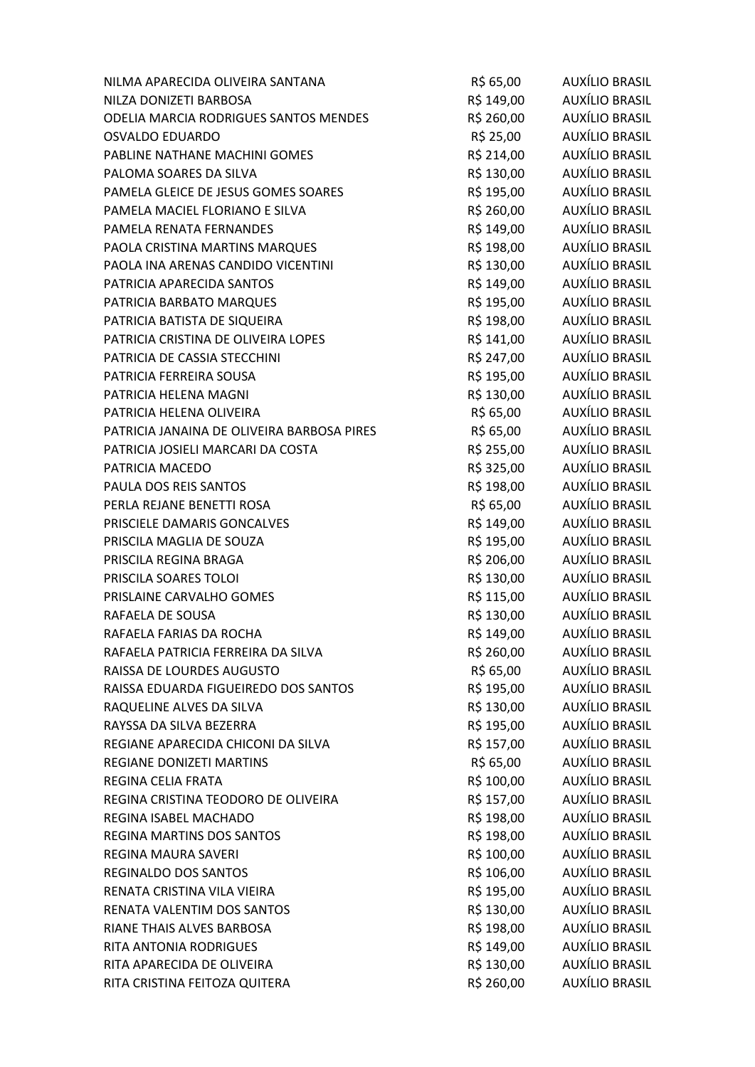| NILMA APARECIDA OLIVEIRA SANTANA           | R\$ 65,00  | AUXÍLIO BRASIL        |
|--------------------------------------------|------------|-----------------------|
| NILZA DONIZETI BARBOSA                     | R\$ 149,00 | <b>AUXÍLIO BRASIL</b> |
| ODELIA MARCIA RODRIGUES SANTOS MENDES      | R\$ 260,00 | AUXÍLIO BRASIL        |
| <b>OSVALDO EDUARDO</b>                     | R\$ 25,00  | AUXÍLIO BRASIL        |
| PABLINE NATHANE MACHINI GOMES              | R\$ 214,00 | <b>AUXÍLIO BRASIL</b> |
| PALOMA SOARES DA SILVA                     | R\$ 130,00 | AUXÍLIO BRASIL        |
| PAMELA GLEICE DE JESUS GOMES SOARES        | R\$ 195,00 | AUXÍLIO BRASIL        |
| PAMELA MACIEL FLORIANO E SILVA             | R\$ 260,00 | AUXÍLIO BRASIL        |
| PAMELA RENATA FERNANDES                    | R\$ 149,00 | AUXÍLIO BRASIL        |
| PAOLA CRISTINA MARTINS MARQUES             | R\$ 198,00 | AUXÍLIO BRASIL        |
| PAOLA INA ARENAS CANDIDO VICENTINI         | R\$ 130,00 | AUXÍLIO BRASIL        |
| PATRICIA APARECIDA SANTOS                  | R\$ 149,00 | AUXÍLIO BRASIL        |
| PATRICIA BARBATO MARQUES                   | R\$ 195,00 | AUXÍLIO BRASIL        |
| PATRICIA BATISTA DE SIQUEIRA               | R\$ 198,00 | <b>AUXÍLIO BRASIL</b> |
| PATRICIA CRISTINA DE OLIVEIRA LOPES        | R\$ 141,00 | AUXÍLIO BRASIL        |
| PATRICIA DE CASSIA STECCHINI               | R\$ 247,00 | AUXÍLIO BRASIL        |
| PATRICIA FERREIRA SOUSA                    | R\$ 195,00 | AUXÍLIO BRASIL        |
| PATRICIA HELENA MAGNI                      | R\$ 130,00 | AUXÍLIO BRASIL        |
| PATRICIA HELENA OLIVEIRA                   | R\$ 65,00  | AUXÍLIO BRASIL        |
| PATRICIA JANAINA DE OLIVEIRA BARBOSA PIRES | R\$ 65,00  | AUXÍLIO BRASIL        |
| PATRICIA JOSIELI MARCARI DA COSTA          | R\$ 255,00 | AUXÍLIO BRASIL        |
| PATRICIA MACEDO                            | R\$ 325,00 | AUXÍLIO BRASIL        |
| PAULA DOS REIS SANTOS                      | R\$ 198,00 | <b>AUXÍLIO BRASIL</b> |
| PERLA REJANE BENETTI ROSA                  | R\$ 65,00  | <b>AUXÍLIO BRASIL</b> |
| PRISCIELE DAMARIS GONCALVES                | R\$ 149,00 | AUXÍLIO BRASIL        |
| PRISCILA MAGLIA DE SOUZA                   | R\$ 195,00 | AUXÍLIO BRASIL        |
| PRISCILA REGINA BRAGA                      | R\$ 206,00 | AUXÍLIO BRASIL        |
| PRISCILA SOARES TOLOI                      | R\$ 130,00 | AUXÍLIO BRASIL        |
| PRISLAINE CARVALHO GOMES                   | R\$ 115,00 | AUXÍLIO BRASIL        |
| RAFAELA DE SOUSA                           | R\$ 130,00 | AUXÍLIO BRASIL        |
| RAFAELA FARIAS DA ROCHA                    | R\$ 149,00 | AUXÍLIO BRASIL        |
| RAFAELA PATRICIA FERREIRA DA SILVA         | R\$ 260,00 | AUXÍLIO BRASIL        |
| RAISSA DE LOURDES AUGUSTO                  | R\$ 65,00  | <b>AUXÍLIO BRASIL</b> |
| RAISSA EDUARDA FIGUEIREDO DOS SANTOS       | R\$ 195,00 | AUXÍLIO BRASIL        |
| RAQUELINE ALVES DA SILVA                   | R\$ 130,00 | AUXÍLIO BRASIL        |
| RAYSSA DA SILVA BEZERRA                    | R\$ 195,00 | <b>AUXÍLIO BRASIL</b> |
| REGIANE APARECIDA CHICONI DA SILVA         | R\$ 157,00 | AUXÍLIO BRASIL        |
| <b>REGIANE DONIZETI MARTINS</b>            | R\$ 65,00  | AUXÍLIO BRASIL        |
| REGINA CELIA FRATA                         | R\$ 100,00 | AUXÍLIO BRASIL        |
| REGINA CRISTINA TEODORO DE OLIVEIRA        | R\$ 157,00 | <b>AUXÍLIO BRASIL</b> |
| REGINA ISABEL MACHADO                      | R\$ 198,00 | AUXÍLIO BRASIL        |
| <b>REGINA MARTINS DOS SANTOS</b>           | R\$ 198,00 | AUXÍLIO BRASIL        |
| REGINA MAURA SAVERI                        | R\$ 100,00 | AUXÍLIO BRASIL        |
| <b>REGINALDO DOS SANTOS</b>                | R\$ 106,00 | AUXÍLIO BRASIL        |
| RENATA CRISTINA VILA VIEIRA                | R\$ 195,00 | AUXÍLIO BRASIL        |
| RENATA VALENTIM DOS SANTOS                 | R\$ 130,00 | AUXÍLIO BRASIL        |
| RIANE THAIS ALVES BARBOSA                  | R\$ 198,00 | AUXÍLIO BRASIL        |
| RITA ANTONIA RODRIGUES                     | R\$ 149,00 | AUXÍLIO BRASIL        |
| RITA APARECIDA DE OLIVEIRA                 | R\$ 130,00 | AUXÍLIO BRASIL        |
| RITA CRISTINA FEITOZA QUITERA              | R\$ 260,00 | <b>AUXÍLIO BRASIL</b> |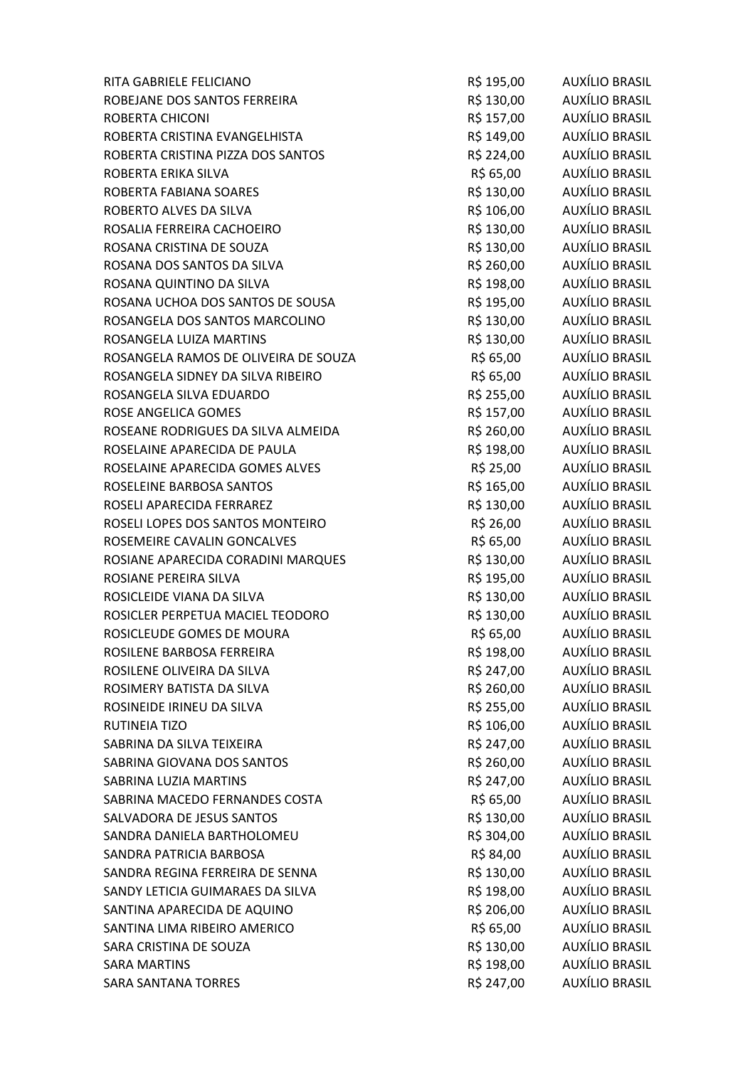| RITA GABRIELE FELICIANO              | R\$ 195,00 | AUXÍLIO BRASIL        |
|--------------------------------------|------------|-----------------------|
| ROBEJANE DOS SANTOS FERREIRA         | R\$ 130,00 | AUXÍLIO BRASIL        |
| ROBERTA CHICONI                      | R\$ 157,00 | AUXÍLIO BRASIL        |
| ROBERTA CRISTINA EVANGELHISTA        | R\$ 149,00 | AUXÍLIO BRASIL        |
| ROBERTA CRISTINA PIZZA DOS SANTOS    | R\$ 224,00 | AUXÍLIO BRASIL        |
| ROBERTA ERIKA SILVA                  | R\$ 65,00  | AUXÍLIO BRASIL        |
| ROBERTA FABIANA SOARES               | R\$ 130,00 | AUXÍLIO BRASIL        |
| ROBERTO ALVES DA SILVA               | R\$ 106,00 | AUXÍLIO BRASIL        |
| ROSALIA FERREIRA CACHOEIRO           | R\$ 130,00 | AUXÍLIO BRASIL        |
| ROSANA CRISTINA DE SOUZA             | R\$ 130,00 | <b>AUXÍLIO BRASIL</b> |
| ROSANA DOS SANTOS DA SILVA           | R\$ 260,00 | AUXÍLIO BRASIL        |
| ROSANA QUINTINO DA SILVA             | R\$ 198,00 | AUXÍLIO BRASIL        |
| ROSANA UCHOA DOS SANTOS DE SOUSA     | R\$ 195,00 | AUXÍLIO BRASIL        |
| ROSANGELA DOS SANTOS MARCOLINO       | R\$ 130,00 | <b>AUXÍLIO BRASIL</b> |
| ROSANGELA LUIZA MARTINS              | R\$ 130,00 | AUXÍLIO BRASIL        |
| ROSANGELA RAMOS DE OLIVEIRA DE SOUZA | R\$ 65,00  | AUXÍLIO BRASIL        |
| ROSANGELA SIDNEY DA SILVA RIBEIRO    | R\$ 65,00  | AUXÍLIO BRASIL        |
| ROSANGELA SILVA EDUARDO              | R\$ 255,00 | <b>AUXÍLIO BRASIL</b> |
| ROSE ANGELICA GOMES                  | R\$ 157,00 | AUXÍLIO BRASIL        |
| ROSEANE RODRIGUES DA SILVA ALMEIDA   | R\$ 260,00 | AUXÍLIO BRASIL        |
| ROSELAINE APARECIDA DE PAULA         | R\$ 198,00 | AUXÍLIO BRASIL        |
| ROSELAINE APARECIDA GOMES ALVES      | R\$ 25,00  | AUXÍLIO BRASIL        |
| ROSELEINE BARBOSA SANTOS             | R\$ 165,00 | AUXÍLIO BRASIL        |
| ROSELI APARECIDA FERRAREZ            | R\$ 130,00 | AUXÍLIO BRASIL        |
| ROSELI LOPES DOS SANTOS MONTEIRO     | R\$ 26,00  | AUXÍLIO BRASIL        |
| ROSEMEIRE CAVALIN GONCALVES          | R\$ 65,00  | AUXÍLIO BRASIL        |
| ROSIANE APARECIDA CORADINI MARQUES   | R\$ 130,00 | AUXÍLIO BRASIL        |
| ROSIANE PEREIRA SILVA                | R\$ 195,00 | AUXÍLIO BRASIL        |
| ROSICLEIDE VIANA DA SILVA            | R\$ 130,00 | AUXÍLIO BRASIL        |
| ROSICLER PERPETUA MACIEL TEODORO     | R\$ 130,00 | AUXÍLIO BRASIL        |
| ROSICLEUDE GOMES DE MOURA            | R\$ 65,00  | <b>AUXÍLIO BRASIL</b> |
| ROSILENE BARBOSA FERREIRA            | R\$ 198,00 | <b>AUXÍLIO BRASIL</b> |
| ROSILENE OLIVEIRA DA SILVA           | R\$ 247,00 | <b>AUXÍLIO BRASIL</b> |
| ROSIMERY BATISTA DA SILVA            | R\$ 260,00 | <b>AUXÍLIO BRASIL</b> |
| ROSINEIDE IRINEU DA SILVA            | R\$ 255,00 | AUXÍLIO BRASIL        |
| RUTINEIA TIZO                        | R\$ 106,00 | AUXÍLIO BRASIL        |
| SABRINA DA SILVA TEIXEIRA            | R\$ 247,00 | <b>AUXÍLIO BRASIL</b> |
| SABRINA GIOVANA DOS SANTOS           | R\$ 260,00 | AUXÍLIO BRASIL        |
| SABRINA LUZIA MARTINS                | R\$ 247,00 | <b>AUXÍLIO BRASIL</b> |
| SABRINA MACEDO FERNANDES COSTA       | R\$ 65,00  | <b>AUXÍLIO BRASIL</b> |
| SALVADORA DE JESUS SANTOS            | R\$ 130,00 | AUXÍLIO BRASIL        |
| SANDRA DANIELA BARTHOLOMEU           | R\$ 304,00 | AUXÍLIO BRASIL        |
| SANDRA PATRICIA BARBOSA              | R\$ 84,00  | AUXÍLIO BRASIL        |
| SANDRA REGINA FERREIRA DE SENNA      | R\$ 130,00 | AUXÍLIO BRASIL        |
| SANDY LETICIA GUIMARAES DA SILVA     | R\$ 198,00 | AUXÍLIO BRASIL        |
| SANTINA APARECIDA DE AQUINO          | R\$ 206,00 | AUXÍLIO BRASIL        |
| SANTINA LIMA RIBEIRO AMERICO         | R\$ 65,00  | AUXÍLIO BRASIL        |
| SARA CRISTINA DE SOUZA               | R\$ 130,00 | AUXÍLIO BRASIL        |
| <b>SARA MARTINS</b>                  | R\$ 198,00 | AUXÍLIO BRASIL        |
| <b>SARA SANTANA TORRES</b>           | R\$ 247,00 | <b>AUXÍLIO BRASIL</b> |
|                                      |            |                       |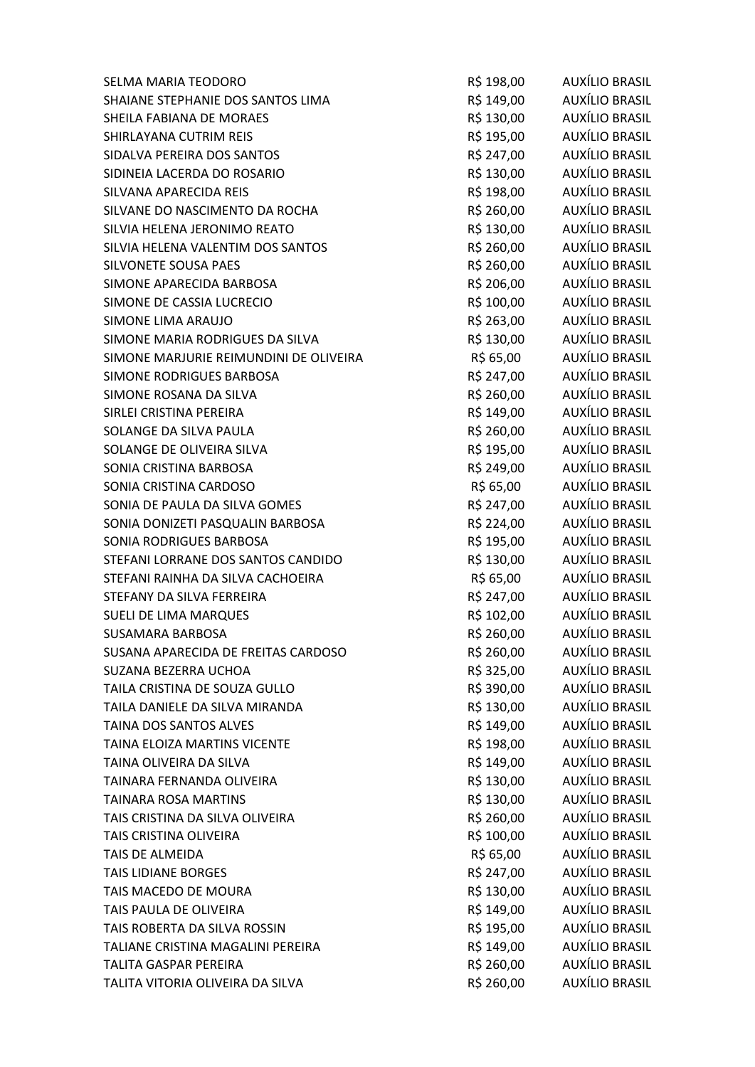| SELMA MARIA TEODORO                    | R\$ 198,00 | AUXÍLIO BRASIL        |
|----------------------------------------|------------|-----------------------|
| SHAIANE STEPHANIE DOS SANTOS LIMA      | R\$ 149,00 | AUXÍLIO BRASIL        |
| SHEILA FABIANA DE MORAES               | R\$ 130,00 | AUXÍLIO BRASIL        |
| SHIRLAYANA CUTRIM REIS                 | R\$ 195,00 | AUXÍLIO BRASIL        |
| SIDALVA PEREIRA DOS SANTOS             | R\$ 247,00 | AUXÍLIO BRASIL        |
| SIDINEIA LACERDA DO ROSARIO            | R\$ 130,00 | AUXÍLIO BRASIL        |
| SILVANA APARECIDA REIS                 | R\$ 198,00 | AUXÍLIO BRASIL        |
| SILVANE DO NASCIMENTO DA ROCHA         | R\$ 260,00 | AUXÍLIO BRASIL        |
| SILVIA HELENA JERONIMO REATO           | R\$ 130,00 | AUXÍLIO BRASIL        |
| SILVIA HELENA VALENTIM DOS SANTOS      | R\$ 260,00 | AUXÍLIO BRASIL        |
| SILVONETE SOUSA PAES                   | R\$ 260,00 | AUXÍLIO BRASIL        |
| SIMONE APARECIDA BARBOSA               | R\$ 206,00 | AUXÍLIO BRASIL        |
| SIMONE DE CASSIA LUCRECIO              | R\$ 100,00 | AUXÍLIO BRASIL        |
| SIMONE LIMA ARAUJO                     | R\$ 263,00 | AUXÍLIO BRASIL        |
| SIMONE MARIA RODRIGUES DA SILVA        | R\$ 130,00 | AUXÍLIO BRASIL        |
| SIMONE MARJURIE REIMUNDINI DE OLIVEIRA | R\$ 65,00  | AUXÍLIO BRASIL        |
| SIMONE RODRIGUES BARBOSA               | R\$ 247,00 | AUXÍLIO BRASIL        |
| SIMONE ROSANA DA SILVA                 | R\$ 260,00 | AUXÍLIO BRASIL        |
| SIRLEI CRISTINA PEREIRA                | R\$ 149,00 | AUXÍLIO BRASIL        |
| SOLANGE DA SILVA PAULA                 | R\$ 260,00 | AUXÍLIO BRASIL        |
| SOLANGE DE OLIVEIRA SILVA              | R\$ 195,00 | AUXÍLIO BRASIL        |
| SONIA CRISTINA BARBOSA                 | R\$ 249,00 | AUXÍLIO BRASIL        |
| SONIA CRISTINA CARDOSO                 | R\$ 65,00  | AUXÍLIO BRASIL        |
| SONIA DE PAULA DA SILVA GOMES          | R\$ 247,00 | AUXÍLIO BRASIL        |
| SONIA DONIZETI PASQUALIN BARBOSA       | R\$ 224,00 | AUXÍLIO BRASIL        |
| SONIA RODRIGUES BARBOSA                | R\$ 195,00 | AUXÍLIO BRASIL        |
| STEFANI LORRANE DOS SANTOS CANDIDO     | R\$ 130,00 | AUXÍLIO BRASIL        |
| STEFANI RAINHA DA SILVA CACHOEIRA      | R\$ 65,00  | AUXÍLIO BRASIL        |
| STEFANY DA SILVA FERREIRA              | R\$ 247,00 | AUXÍLIO BRASIL        |
| <b>SUELI DE LIMA MARQUES</b>           | R\$ 102,00 | AUXÍLIO BRASIL        |
| <b>SUSAMARA BARBOSA</b>                | R\$ 260,00 | AUXÍLIO BRASIL        |
| SUSANA APARECIDA DE FREITAS CARDOSO    | R\$ 260,00 | AUXÍLIO BRASIL        |
| SUZANA BEZERRA UCHOA                   | R\$ 325,00 | <b>AUXÍLIO BRASIL</b> |
| TAILA CRISTINA DE SOUZA GULLO          | R\$ 390,00 | AUXÍLIO BRASIL        |
| TAILA DANIELE DA SILVA MIRANDA         | R\$ 130,00 | AUXÍLIO BRASIL        |
| TAINA DOS SANTOS ALVES                 | R\$ 149,00 | AUXÍLIO BRASIL        |
| TAINA ELOIZA MARTINS VICENTE           | R\$ 198,00 | AUXÍLIO BRASIL        |
| TAINA OLIVEIRA DA SILVA                | R\$ 149,00 | AUXÍLIO BRASIL        |
| TAINARA FERNANDA OLIVEIRA              | R\$ 130,00 | AUXÍLIO BRASIL        |
| <b>TAINARA ROSA MARTINS</b>            | R\$ 130,00 | <b>AUXÍLIO BRASIL</b> |
| TAIS CRISTINA DA SILVA OLIVEIRA        | R\$ 260,00 | AUXÍLIO BRASIL        |
| TAIS CRISTINA OLIVEIRA                 | R\$ 100,00 | AUXÍLIO BRASIL        |
| TAIS DE ALMEIDA                        | R\$ 65,00  | AUXÍLIO BRASIL        |
| <b>TAIS LIDIANE BORGES</b>             | R\$ 247,00 | AUXÍLIO BRASIL        |
| TAIS MACEDO DE MOURA                   | R\$ 130,00 | <b>AUXÍLIO BRASIL</b> |
| TAIS PAULA DE OLIVEIRA                 | R\$ 149,00 | AUXÍLIO BRASIL        |
| TAIS ROBERTA DA SILVA ROSSIN           | R\$ 195,00 | AUXÍLIO BRASIL        |
| TALIANE CRISTINA MAGALINI PEREIRA      | R\$ 149,00 | AUXÍLIO BRASIL        |
| TALITA GASPAR PEREIRA                  | R\$ 260,00 | AUXÍLIO BRASIL        |
| TALITA VITORIA OLIVEIRA DA SILVA       | R\$ 260,00 | <b>AUXÍLIO BRASIL</b> |
|                                        |            |                       |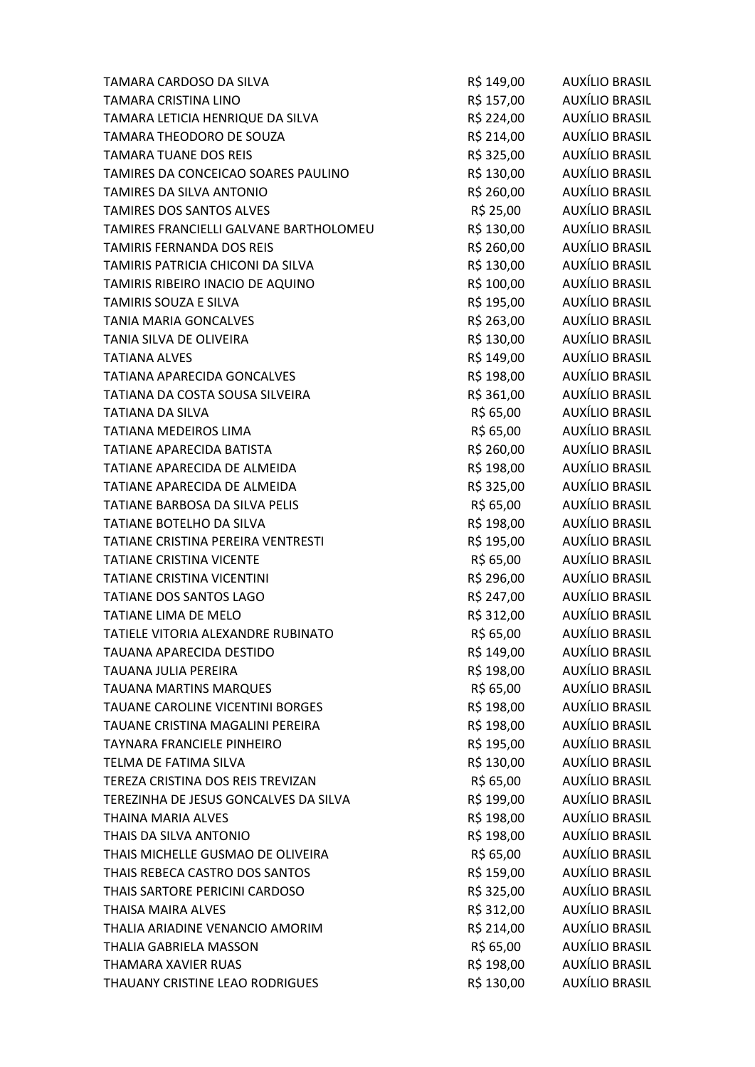| TAMARA CARDOSO DA SILVA                | R\$ 149,00 | AUXÍLIO BRASIL        |
|----------------------------------------|------------|-----------------------|
| <b>TAMARA CRISTINA LINO</b>            | R\$ 157,00 | <b>AUXÍLIO BRASIL</b> |
| TAMARA LETICIA HENRIQUE DA SILVA       | R\$ 224,00 | AUXÍLIO BRASIL        |
| TAMARA THEODORO DE SOUZA               | R\$ 214,00 | <b>AUXÍLIO BRASIL</b> |
| <b>TAMARA TUANE DOS REIS</b>           | R\$ 325,00 | <b>AUXÍLIO BRASIL</b> |
| TAMIRES DA CONCEICAO SOARES PAULINO    | R\$ 130,00 | <b>AUXÍLIO BRASIL</b> |
| TAMIRES DA SILVA ANTONIO               | R\$ 260,00 | AUXÍLIO BRASIL        |
| <b>TAMIRES DOS SANTOS ALVES</b>        | R\$ 25,00  | AUXÍLIO BRASIL        |
| TAMIRES FRANCIELLI GALVANE BARTHOLOMEU | R\$ 130,00 | AUXÍLIO BRASIL        |
| <b>TAMIRIS FERNANDA DOS REIS</b>       | R\$ 260,00 | <b>AUXÍLIO BRASIL</b> |
| TAMIRIS PATRICIA CHICONI DA SILVA      | R\$ 130,00 | AUXÍLIO BRASIL        |
| TAMIRIS RIBEIRO INACIO DE AQUINO       | R\$ 100,00 | AUXÍLIO BRASIL        |
| TAMIRIS SOUZA E SILVA                  | R\$ 195,00 | AUXÍLIO BRASIL        |
| <b>TANIA MARIA GONCALVES</b>           | R\$ 263,00 | <b>AUXÍLIO BRASIL</b> |
| TANIA SILVA DE OLIVEIRA                | R\$ 130,00 | <b>AUXÍLIO BRASIL</b> |
| <b>TATIANA ALVES</b>                   | R\$ 149,00 | <b>AUXÍLIO BRASIL</b> |
| TATIANA APARECIDA GONCALVES            | R\$ 198,00 | <b>AUXÍLIO BRASIL</b> |
| TATIANA DA COSTA SOUSA SILVEIRA        | R\$ 361,00 | <b>AUXÍLIO BRASIL</b> |
| <b>TATIANA DA SILVA</b>                | R\$ 65,00  | <b>AUXÍLIO BRASIL</b> |
| <b>TATIANA MEDEIROS LIMA</b>           | R\$ 65,00  | AUXÍLIO BRASIL        |
| TATIANE APARECIDA BATISTA              | R\$ 260,00 | AUXÍLIO BRASIL        |
| TATIANE APARECIDA DE ALMEIDA           | R\$ 198,00 | AUXÍLIO BRASIL        |
| TATIANE APARECIDA DE ALMEIDA           | R\$ 325,00 | <b>AUXÍLIO BRASIL</b> |
| TATIANE BARBOSA DA SILVA PELIS         | R\$ 65,00  | <b>AUXÍLIO BRASIL</b> |
| TATIANE BOTELHO DA SILVA               | R\$ 198,00 | <b>AUXÍLIO BRASIL</b> |
| TATIANE CRISTINA PEREIRA VENTRESTI     | R\$ 195,00 | AUXÍLIO BRASIL        |
| <b>TATIANE CRISTINA VICENTE</b>        | R\$ 65,00  | AUXÍLIO BRASIL        |
| <b>TATIANE CRISTINA VICENTINI</b>      | R\$ 296,00 | AUXÍLIO BRASIL        |
| TATIANE DOS SANTOS LAGO                | R\$ 247,00 | AUXÍLIO BRASIL        |
| <b>TATIANE LIMA DE MELO</b>            | R\$ 312,00 | <b>AUXÍLIO BRASIL</b> |
| TATIELE VITORIA ALEXANDRE RUBINATO     | R\$ 65,00  | <b>AUXÍLIO BRASIL</b> |
| <b>TAUANA APARECIDA DESTIDO</b>        | R\$ 149,00 | AUXÍLIO BRASIL        |
| <b>TAUANA JULIA PEREIRA</b>            | R\$ 198,00 | <b>AUXÍLIO BRASIL</b> |
| <b>TAUANA MARTINS MARQUES</b>          | R\$ 65,00  | AUXÍLIO BRASIL        |
| TAUANE CAROLINE VICENTINI BORGES       | R\$ 198,00 | AUXÍLIO BRASIL        |
| TAUANE CRISTINA MAGALINI PEREIRA       | R\$ 198,00 | AUXÍLIO BRASIL        |
| TAYNARA FRANCIELE PINHEIRO             | R\$ 195,00 | AUXÍLIO BRASIL        |
| TELMA DE FATIMA SILVA                  | R\$ 130,00 | AUXÍLIO BRASIL        |
| TEREZA CRISTINA DOS REIS TREVIZAN      | R\$ 65,00  | AUXÍLIO BRASIL        |
| TEREZINHA DE JESUS GONCALVES DA SILVA  | R\$ 199,00 | <b>AUXÍLIO BRASIL</b> |
| THAINA MARIA ALVES                     | R\$ 198,00 | <b>AUXÍLIO BRASIL</b> |
| THAIS DA SILVA ANTONIO                 | R\$ 198,00 | AUXÍLIO BRASIL        |
| THAIS MICHELLE GUSMAO DE OLIVEIRA      | R\$ 65,00  | AUXÍLIO BRASIL        |
| THAIS REBECA CASTRO DOS SANTOS         | R\$ 159,00 | AUXÍLIO BRASIL        |
| THAIS SARTORE PERICINI CARDOSO         | R\$ 325,00 | <b>AUXÍLIO BRASIL</b> |
| <b>THAISA MAIRA ALVES</b>              | R\$ 312,00 | AUXÍLIO BRASIL        |
| THALIA ARIADINE VENANCIO AMORIM        | R\$ 214,00 | <b>AUXÍLIO BRASIL</b> |
| THALIA GABRIELA MASSON                 | R\$ 65,00  | AUXÍLIO BRASIL        |
| THAMARA XAVIER RUAS                    | R\$ 198,00 | AUXÍLIO BRASIL        |
| THAUANY CRISTINE LEAO RODRIGUES        | R\$ 130,00 | <b>AUXÍLIO BRASIL</b> |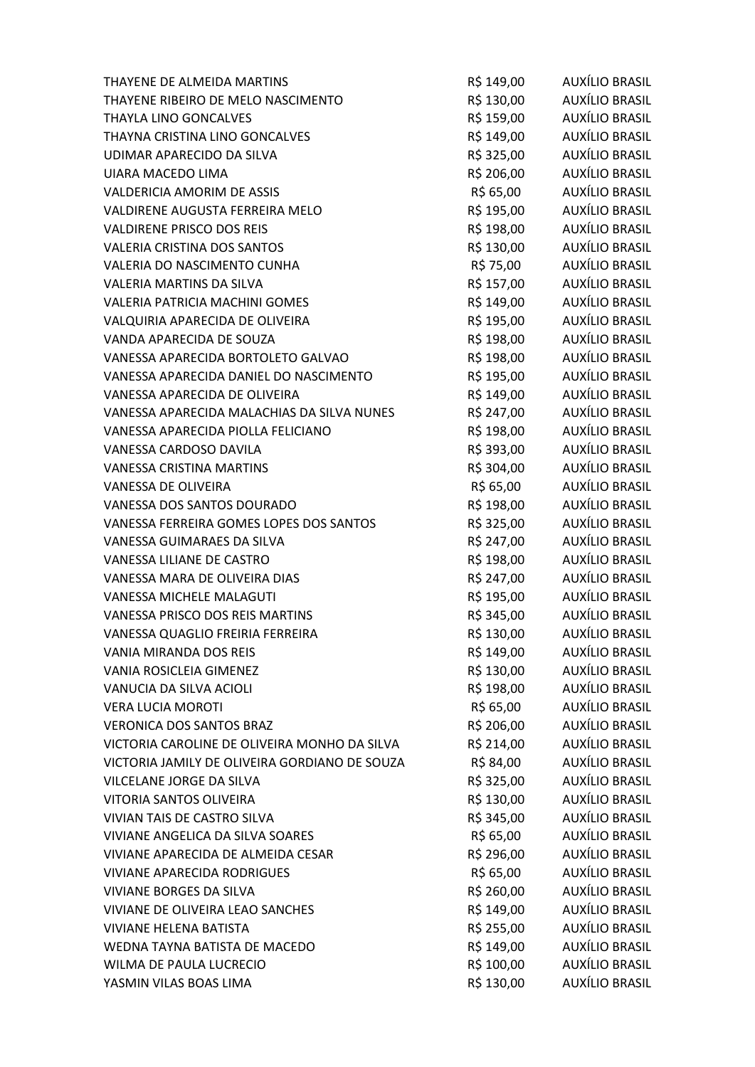| THAYENE DE ALMEIDA MARTINS                    | R\$ 149,00 | AUXÍLIO BRASIL        |
|-----------------------------------------------|------------|-----------------------|
| THAYENE RIBEIRO DE MELO NASCIMENTO            | R\$ 130,00 | AUXÍLIO BRASIL        |
| THAYLA LINO GONCALVES                         | R\$ 159,00 | AUXÍLIO BRASIL        |
| THAYNA CRISTINA LINO GONCALVES                | R\$ 149,00 | AUXÍLIO BRASIL        |
| UDIMAR APARECIDO DA SILVA                     | R\$ 325,00 | <b>AUXÍLIO BRASIL</b> |
| UIARA MACEDO LIMA                             | R\$ 206,00 | AUXÍLIO BRASIL        |
| VALDERICIA AMORIM DE ASSIS                    | R\$ 65,00  | AUXÍLIO BRASIL        |
| VALDIRENE AUGUSTA FERREIRA MELO               | R\$ 195,00 | AUXÍLIO BRASIL        |
| <b>VALDIRENE PRISCO DOS REIS</b>              | R\$ 198,00 | <b>AUXÍLIO BRASIL</b> |
| <b>VALERIA CRISTINA DOS SANTOS</b>            | R\$ 130,00 | AUXÍLIO BRASIL        |
| VALERIA DO NASCIMENTO CUNHA                   | R\$ 75,00  | AUXÍLIO BRASIL        |
| VALERIA MARTINS DA SILVA                      | R\$ 157,00 | AUXÍLIO BRASIL        |
| VALERIA PATRICIA MACHINI GOMES                | R\$ 149,00 | AUXÍLIO BRASIL        |
| VALQUIRIA APARECIDA DE OLIVEIRA               | R\$ 195,00 | <b>AUXÍLIO BRASIL</b> |
| VANDA APARECIDA DE SOUZA                      | R\$ 198,00 | AUXÍLIO BRASIL        |
| VANESSA APARECIDA BORTOLETO GALVAO            | R\$ 198,00 | AUXÍLIO BRASIL        |
| VANESSA APARECIDA DANIEL DO NASCIMENTO        | R\$ 195,00 | AUXÍLIO BRASIL        |
| VANESSA APARECIDA DE OLIVEIRA                 | R\$ 149,00 | <b>AUXÍLIO BRASIL</b> |
| VANESSA APARECIDA MALACHIAS DA SILVA NUNES    | R\$ 247,00 | AUXÍLIO BRASIL        |
| VANESSA APARECIDA PIOLLA FELICIANO            | R\$ 198,00 | AUXÍLIO BRASIL        |
| VANESSA CARDOSO DAVILA                        | R\$ 393,00 | AUXÍLIO BRASIL        |
| VANESSA CRISTINA MARTINS                      | R\$ 304,00 | AUXÍLIO BRASIL        |
| VANESSA DE OLIVEIRA                           | R\$ 65,00  | AUXÍLIO BRASIL        |
| VANESSA DOS SANTOS DOURADO                    | R\$ 198,00 | <b>AUXÍLIO BRASIL</b> |
| VANESSA FERREIRA GOMES LOPES DOS SANTOS       | R\$ 325,00 | <b>AUXÍLIO BRASIL</b> |
| VANESSA GUIMARAES DA SILVA                    | R\$ 247,00 | <b>AUXÍLIO BRASIL</b> |
| VANESSA LILIANE DE CASTRO                     | R\$ 198,00 | AUXÍLIO BRASIL        |
| VANESSA MARA DE OLIVEIRA DIAS                 | R\$ 247,00 | <b>AUXÍLIO BRASIL</b> |
| VANESSA MICHELE MALAGUTI                      | R\$ 195,00 | AUXÍLIO BRASIL        |
| VANESSA PRISCO DOS REIS MARTINS               | R\$ 345,00 | AUXÍLIO BRASIL        |
| VANESSA QUAGLIO FREIRIA FERREIRA              | R\$ 130,00 | <b>AUXÍLIO BRASIL</b> |
| <b>VANIA MIRANDA DOS REIS</b>                 | R\$ 149,00 | AUXÍLIO BRASIL        |
| VANIA ROSICLEIA GIMENEZ                       | R\$ 130,00 | <b>AUXÍLIO BRASIL</b> |
| VANUCIA DA SILVA ACIOLI                       | R\$ 198,00 | AUXÍLIO BRASIL        |
| <b>VERA LUCIA MOROTI</b>                      | R\$ 65,00  | <b>AUXÍLIO BRASIL</b> |
| <b>VERONICA DOS SANTOS BRAZ</b>               | R\$ 206,00 | AUXÍLIO BRASIL        |
| VICTORIA CAROLINE DE OLIVEIRA MONHO DA SILVA  | R\$ 214,00 | <b>AUXÍLIO BRASIL</b> |
| VICTORIA JAMILY DE OLIVEIRA GORDIANO DE SOUZA | R\$ 84,00  | <b>AUXÍLIO BRASIL</b> |
| VILCELANE JORGE DA SILVA                      | R\$ 325,00 | <b>AUXÍLIO BRASIL</b> |
| <b>VITORIA SANTOS OLIVEIRA</b>                | R\$ 130,00 | AUXÍLIO BRASIL        |
| VIVIAN TAIS DE CASTRO SILVA                   | R\$ 345,00 | <b>AUXÍLIO BRASIL</b> |
| VIVIANE ANGELICA DA SILVA SOARES              | R\$ 65,00  | AUXÍLIO BRASIL        |
| VIVIANE APARECIDA DE ALMEIDA CESAR            | R\$ 296,00 | <b>AUXÍLIO BRASIL</b> |
| <b>VIVIANE APARECIDA RODRIGUES</b>            | R\$ 65,00  | <b>AUXÍLIO BRASIL</b> |
| VIVIANE BORGES DA SILVA                       | R\$ 260,00 | <b>AUXÍLIO BRASIL</b> |
| VIVIANE DE OLIVEIRA LEAO SANCHES              | R\$ 149,00 | <b>AUXÍLIO BRASIL</b> |
| <b>VIVIANE HELENA BATISTA</b>                 | R\$ 255,00 | AUXÍLIO BRASIL        |
| WEDNA TAYNA BATISTA DE MACEDO                 | R\$ 149,00 | <b>AUXÍLIO BRASIL</b> |
| WILMA DE PAULA LUCRECIO                       | R\$ 100,00 | <b>AUXÍLIO BRASIL</b> |
| YASMIN VILAS BOAS LIMA                        | R\$ 130,00 | <b>AUXÍLIO BRASIL</b> |